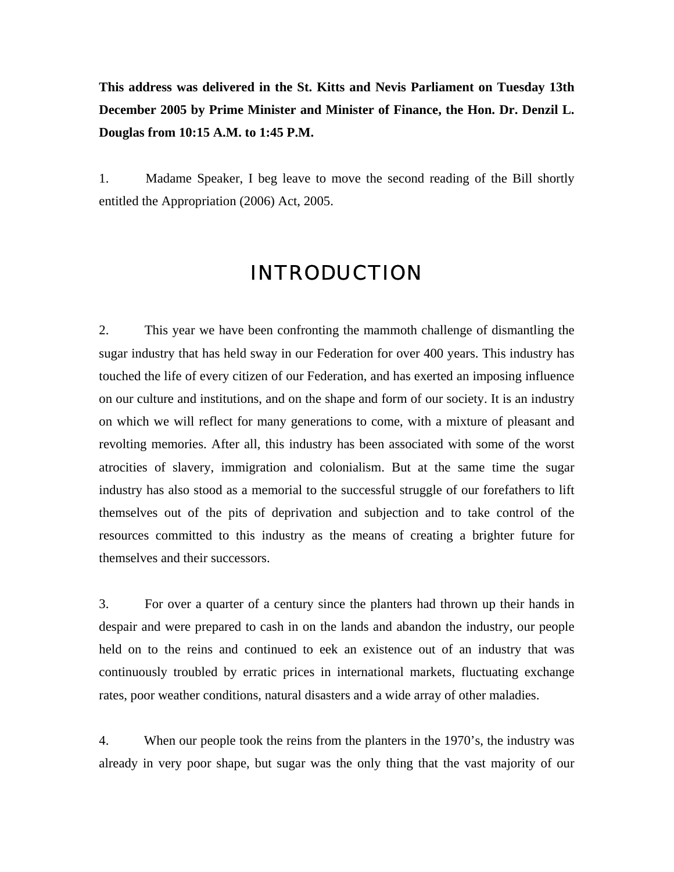**This address was delivered in the St. Kitts and Nevis Parliament on Tuesday 13th December 2005 by Prime Minister and Minister of Finance, the Hon. Dr. Denzil L. Douglas from 10:15 A.M. to 1:45 P.M.**

1. Madame Speaker, I beg leave to move the second reading of the Bill shortly entitled the Appropriation (2006) Act, 2005.

# INTRODUCTION

2. This year we have been confronting the mammoth challenge of dismantling the sugar industry that has held sway in our Federation for over 400 years. This industry has touched the life of every citizen of our Federation, and has exerted an imposing influence on our culture and institutions, and on the shape and form of our society. It is an industry on which we will reflect for many generations to come, with a mixture of pleasant and revolting memories. After all, this industry has been associated with some of the worst atrocities of slavery, immigration and colonialism. But at the same time the sugar industry has also stood as a memorial to the successful struggle of our forefathers to lift themselves out of the pits of deprivation and subjection and to take control of the resources committed to this industry as the means of creating a brighter future for themselves and their successors.

3. For over a quarter of a century since the planters had thrown up their hands in despair and were prepared to cash in on the lands and abandon the industry, our people held on to the reins and continued to eek an existence out of an industry that was continuously troubled by erratic prices in international markets, fluctuating exchange rates, poor weather conditions, natural disasters and a wide array of other maladies.

4. When our people took the reins from the planters in the 1970's, the industry was already in very poor shape, but sugar was the only thing that the vast majority of our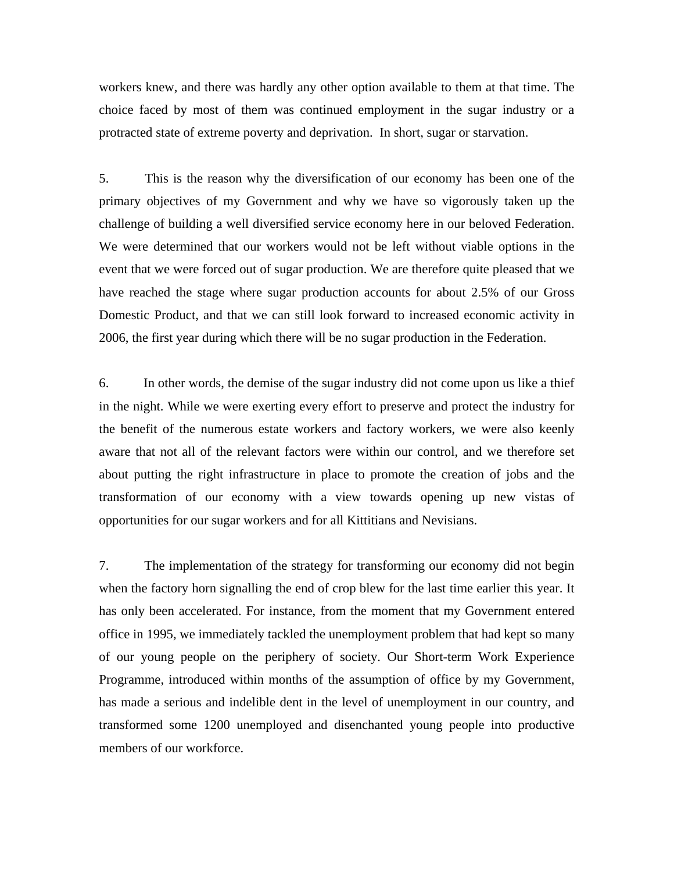workers knew, and there was hardly any other option available to them at that time. The choice faced by most of them was continued employment in the sugar industry or a protracted state of extreme poverty and deprivation. In short, sugar or starvation.

5. This is the reason why the diversification of our economy has been one of the primary objectives of my Government and why we have so vigorously taken up the challenge of building a well diversified service economy here in our beloved Federation. We were determined that our workers would not be left without viable options in the event that we were forced out of sugar production. We are therefore quite pleased that we have reached the stage where sugar production accounts for about 2.5% of our Gross Domestic Product, and that we can still look forward to increased economic activity in 2006, the first year during which there will be no sugar production in the Federation.

6. In other words, the demise of the sugar industry did not come upon us like a thief in the night. While we were exerting every effort to preserve and protect the industry for the benefit of the numerous estate workers and factory workers, we were also keenly aware that not all of the relevant factors were within our control, and we therefore set about putting the right infrastructure in place to promote the creation of jobs and the transformation of our economy with a view towards opening up new vistas of opportunities for our sugar workers and for all Kittitians and Nevisians.

7. The implementation of the strategy for transforming our economy did not begin when the factory horn signalling the end of crop blew for the last time earlier this year. It has only been accelerated. For instance, from the moment that my Government entered office in 1995, we immediately tackled the unemployment problem that had kept so many of our young people on the periphery of society. Our Short-term Work Experience Programme, introduced within months of the assumption of office by my Government, has made a serious and indelible dent in the level of unemployment in our country, and transformed some 1200 unemployed and disenchanted young people into productive members of our workforce.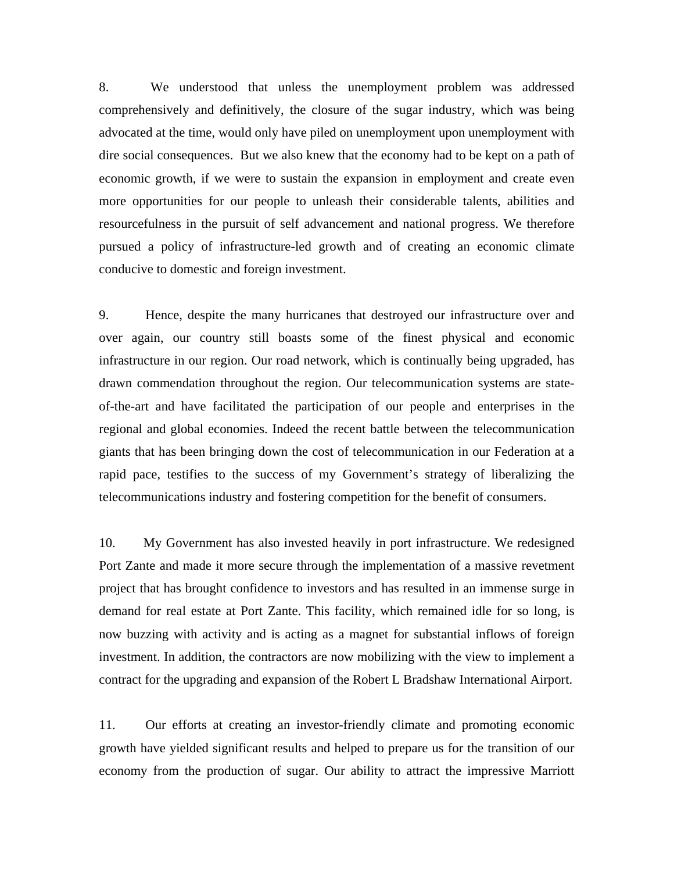8. We understood that unless the unemployment problem was addressed comprehensively and definitively, the closure of the sugar industry, which was being advocated at the time, would only have piled on unemployment upon unemployment with dire social consequences. But we also knew that the economy had to be kept on a path of economic growth, if we were to sustain the expansion in employment and create even more opportunities for our people to unleash their considerable talents, abilities and resourcefulness in the pursuit of self advancement and national progress. We therefore pursued a policy of infrastructure-led growth and of creating an economic climate conducive to domestic and foreign investment.

9. Hence, despite the many hurricanes that destroyed our infrastructure over and over again, our country still boasts some of the finest physical and economic infrastructure in our region. Our road network, which is continually being upgraded, has drawn commendation throughout the region. Our telecommunication systems are stateof-the-art and have facilitated the participation of our people and enterprises in the regional and global economies. Indeed the recent battle between the telecommunication giants that has been bringing down the cost of telecommunication in our Federation at a rapid pace, testifies to the success of my Government's strategy of liberalizing the telecommunications industry and fostering competition for the benefit of consumers.

10. My Government has also invested heavily in port infrastructure. We redesigned Port Zante and made it more secure through the implementation of a massive revetment project that has brought confidence to investors and has resulted in an immense surge in demand for real estate at Port Zante. This facility, which remained idle for so long, is now buzzing with activity and is acting as a magnet for substantial inflows of foreign investment. In addition, the contractors are now mobilizing with the view to implement a contract for the upgrading and expansion of the Robert L Bradshaw International Airport.

11. Our efforts at creating an investor-friendly climate and promoting economic growth have yielded significant results and helped to prepare us for the transition of our economy from the production of sugar. Our ability to attract the impressive Marriott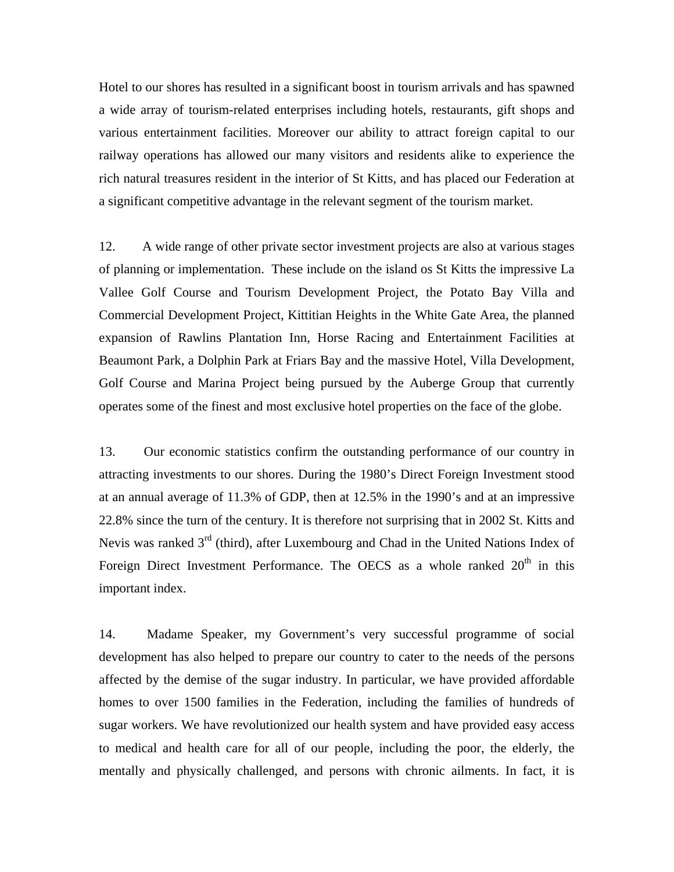Hotel to our shores has resulted in a significant boost in tourism arrivals and has spawned a wide array of tourism-related enterprises including hotels, restaurants, gift shops and various entertainment facilities. Moreover our ability to attract foreign capital to our railway operations has allowed our many visitors and residents alike to experience the rich natural treasures resident in the interior of St Kitts, and has placed our Federation at a significant competitive advantage in the relevant segment of the tourism market.

12. A wide range of other private sector investment projects are also at various stages of planning or implementation. These include on the island os St Kitts the impressive La Vallee Golf Course and Tourism Development Project, the Potato Bay Villa and Commercial Development Project, Kittitian Heights in the White Gate Area, the planned expansion of Rawlins Plantation Inn, Horse Racing and Entertainment Facilities at Beaumont Park, a Dolphin Park at Friars Bay and the massive Hotel, Villa Development, Golf Course and Marina Project being pursued by the Auberge Group that currently operates some of the finest and most exclusive hotel properties on the face of the globe.

13. Our economic statistics confirm the outstanding performance of our country in attracting investments to our shores. During the 1980's Direct Foreign Investment stood at an annual average of 11.3% of GDP, then at 12.5% in the 1990's and at an impressive 22.8% since the turn of the century. It is therefore not surprising that in 2002 St. Kitts and Nevis was ranked 3<sup>rd</sup> (third), after Luxembourg and Chad in the United Nations Index of Foreign Direct Investment Performance. The OECS as a whole ranked  $20<sup>th</sup>$  in this important index.

14. Madame Speaker, my Government's very successful programme of social development has also helped to prepare our country to cater to the needs of the persons affected by the demise of the sugar industry. In particular, we have provided affordable homes to over 1500 families in the Federation, including the families of hundreds of sugar workers. We have revolutionized our health system and have provided easy access to medical and health care for all of our people, including the poor, the elderly, the mentally and physically challenged, and persons with chronic ailments. In fact, it is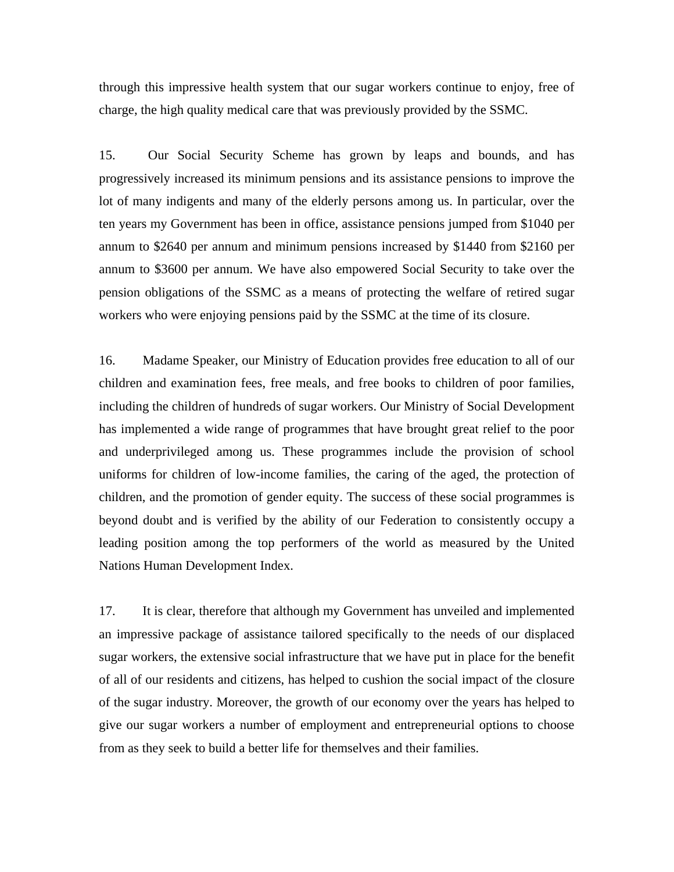through this impressive health system that our sugar workers continue to enjoy, free of charge, the high quality medical care that was previously provided by the SSMC.

15. Our Social Security Scheme has grown by leaps and bounds, and has progressively increased its minimum pensions and its assistance pensions to improve the lot of many indigents and many of the elderly persons among us. In particular, over the ten years my Government has been in office, assistance pensions jumped from \$1040 per annum to \$2640 per annum and minimum pensions increased by \$1440 from \$2160 per annum to \$3600 per annum. We have also empowered Social Security to take over the pension obligations of the SSMC as a means of protecting the welfare of retired sugar workers who were enjoying pensions paid by the SSMC at the time of its closure.

16. Madame Speaker, our Ministry of Education provides free education to all of our children and examination fees, free meals, and free books to children of poor families, including the children of hundreds of sugar workers. Our Ministry of Social Development has implemented a wide range of programmes that have brought great relief to the poor and underprivileged among us. These programmes include the provision of school uniforms for children of low-income families, the caring of the aged, the protection of children, and the promotion of gender equity. The success of these social programmes is beyond doubt and is verified by the ability of our Federation to consistently occupy a leading position among the top performers of the world as measured by the United Nations Human Development Index.

17. It is clear, therefore that although my Government has unveiled and implemented an impressive package of assistance tailored specifically to the needs of our displaced sugar workers, the extensive social infrastructure that we have put in place for the benefit of all of our residents and citizens, has helped to cushion the social impact of the closure of the sugar industry. Moreover, the growth of our economy over the years has helped to give our sugar workers a number of employment and entrepreneurial options to choose from as they seek to build a better life for themselves and their families.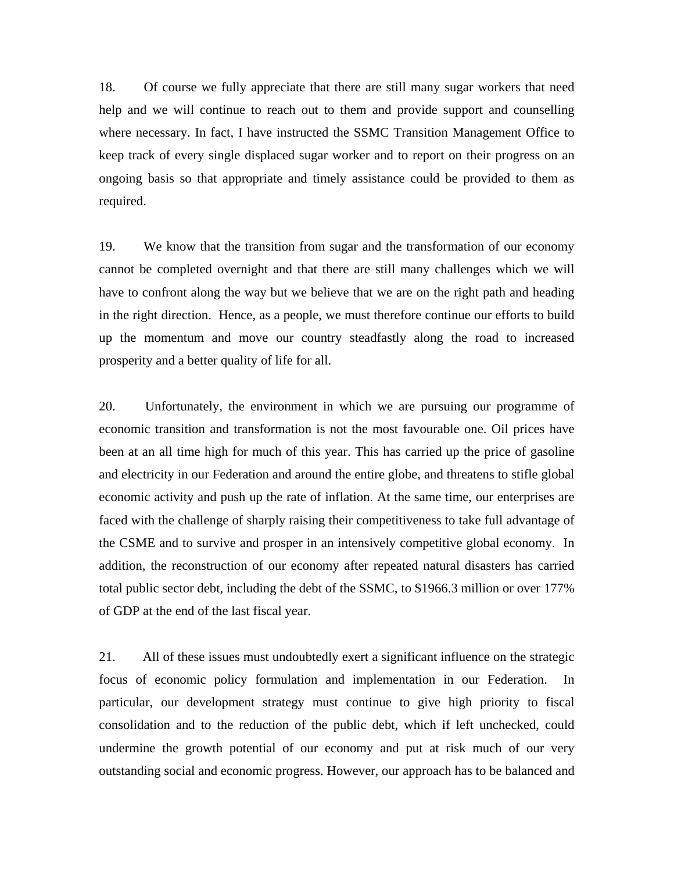18. Of course we fully appreciate that there are still many sugar workers that need help and we will continue to reach out to them and provide support and counselling where necessary. In fact, I have instructed the SSMC Transition Management Office to keep track of every single displaced sugar worker and to report on their progress on an ongoing basis so that appropriate and timely assistance could be provided to them as required.

19. We know that the transition from sugar and the transformation of our economy cannot be completed overnight and that there are still many challenges which we will have to confront along the way but we believe that we are on the right path and heading in the right direction. Hence, as a people, we must therefore continue our efforts to build up the momentum and move our country steadfastly along the road to increased prosperity and a better quality of life for all.

20. Unfortunately, the environment in which we are pursuing our programme of economic transition and transformation is not the most favourable one. Oil prices have been at an all time high for much of this year. This has carried up the price of gasoline and electricity in our Federation and around the entire globe, and threatens to stifle global economic activity and push up the rate of inflation. At the same time, our enterprises are faced with the challenge of sharply raising their competitiveness to take full advantage of the CSME and to survive and prosper in an intensively competitive global economy. In addition, the reconstruction of our economy after repeated natural disasters has carried total public sector debt, including the debt of the SSMC, to \$1966.3 million or over 177% of GDP at the end of the last fiscal year.

21. All of these issues must undoubtedly exert a significant influence on the strategic focus of economic policy formulation and implementation in our Federation. In particular, our development strategy must continue to give high priority to fiscal consolidation and to the reduction of the public debt, which if left unchecked, could undermine the growth potential of our economy and put at risk much of our very outstanding social and economic progress. However, our approach has to be balanced and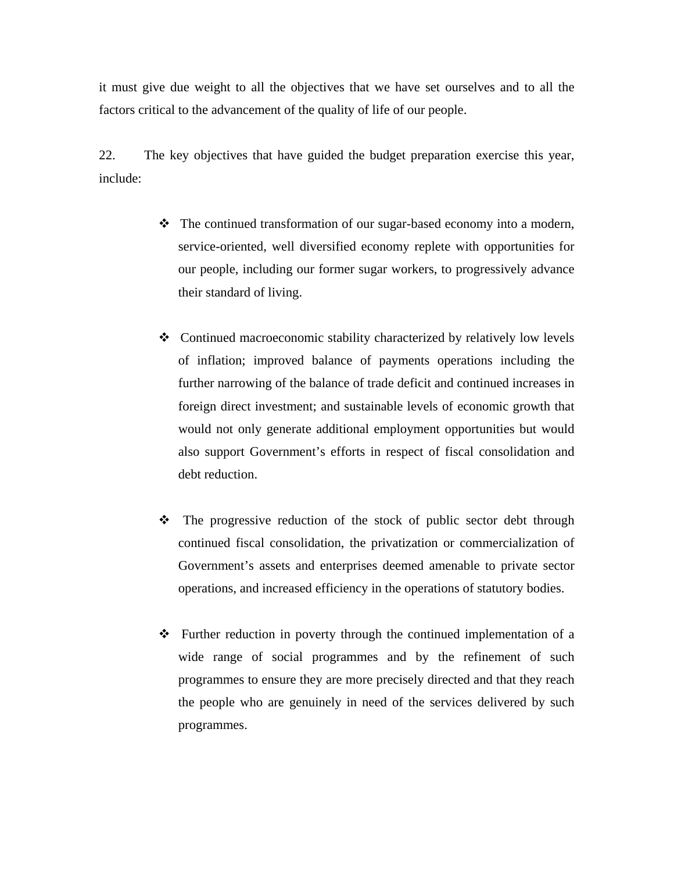it must give due weight to all the objectives that we have set ourselves and to all the factors critical to the advancement of the quality of life of our people.

22. The key objectives that have guided the budget preparation exercise this year, include:

- The continued transformation of our sugar-based economy into a modern, service-oriented, well diversified economy replete with opportunities for our people, including our former sugar workers, to progressively advance their standard of living.
- Continued macroeconomic stability characterized by relatively low levels of inflation; improved balance of payments operations including the further narrowing of the balance of trade deficit and continued increases in foreign direct investment; and sustainable levels of economic growth that would not only generate additional employment opportunities but would also support Government's efforts in respect of fiscal consolidation and debt reduction.
- $\hat{\cdot}$  The progressive reduction of the stock of public sector debt through continued fiscal consolidation, the privatization or commercialization of Government's assets and enterprises deemed amenable to private sector operations, and increased efficiency in the operations of statutory bodies.
- $\div$  Further reduction in poverty through the continued implementation of a wide range of social programmes and by the refinement of such programmes to ensure they are more precisely directed and that they reach the people who are genuinely in need of the services delivered by such programmes.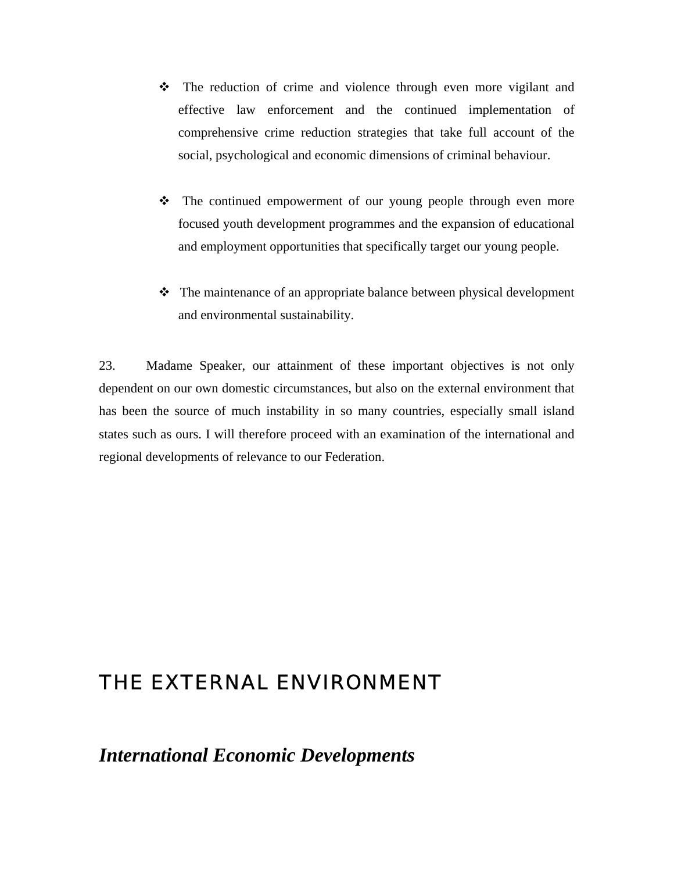- \* The reduction of crime and violence through even more vigilant and effective law enforcement and the continued implementation of comprehensive crime reduction strategies that take full account of the social, psychological and economic dimensions of criminal behaviour.
- $\div$  The continued empowerment of our young people through even more focused youth development programmes and the expansion of educational and employment opportunities that specifically target our young people.
- The maintenance of an appropriate balance between physical development and environmental sustainability.

23. Madame Speaker, our attainment of these important objectives is not only dependent on our own domestic circumstances, but also on the external environment that has been the source of much instability in so many countries, especially small island states such as ours. I will therefore proceed with an examination of the international and regional developments of relevance to our Federation.

# THE EXTERNAL ENVIRONMENT

*International Economic Developments*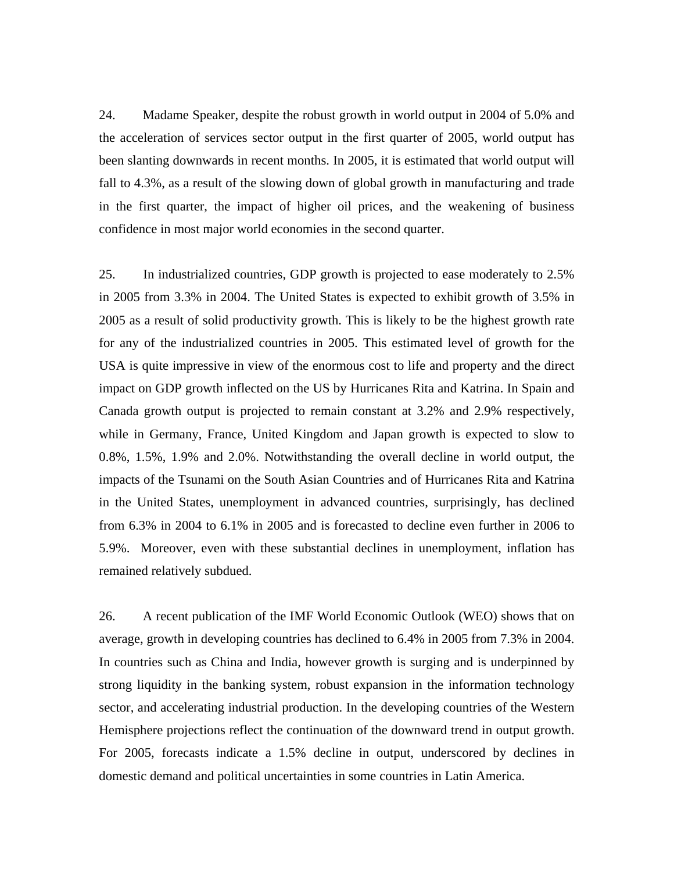24. Madame Speaker, despite the robust growth in world output in 2004 of 5.0% and the acceleration of services sector output in the first quarter of 2005, world output has been slanting downwards in recent months. In 2005, it is estimated that world output will fall to 4.3%, as a result of the slowing down of global growth in manufacturing and trade in the first quarter, the impact of higher oil prices, and the weakening of business confidence in most major world economies in the second quarter.

25. In industrialized countries, GDP growth is projected to ease moderately to 2.5% in 2005 from 3.3% in 2004. The United States is expected to exhibit growth of 3.5% in 2005 as a result of solid productivity growth. This is likely to be the highest growth rate for any of the industrialized countries in 2005. This estimated level of growth for the USA is quite impressive in view of the enormous cost to life and property and the direct impact on GDP growth inflected on the US by Hurricanes Rita and Katrina. In Spain and Canada growth output is projected to remain constant at 3.2% and 2.9% respectively, while in Germany, France, United Kingdom and Japan growth is expected to slow to 0.8%, 1.5%, 1.9% and 2.0%. Notwithstanding the overall decline in world output, the impacts of the Tsunami on the South Asian Countries and of Hurricanes Rita and Katrina in the United States, unemployment in advanced countries, surprisingly, has declined from 6.3% in 2004 to 6.1% in 2005 and is forecasted to decline even further in 2006 to 5.9%. Moreover, even with these substantial declines in unemployment, inflation has remained relatively subdued.

26. A recent publication of the IMF World Economic Outlook (WEO) shows that on average, growth in developing countries has declined to 6.4% in 2005 from 7.3% in 2004. In countries such as China and India, however growth is surging and is underpinned by strong liquidity in the banking system, robust expansion in the information technology sector, and accelerating industrial production. In the developing countries of the Western Hemisphere projections reflect the continuation of the downward trend in output growth. For 2005, forecasts indicate a 1.5% decline in output, underscored by declines in domestic demand and political uncertainties in some countries in Latin America.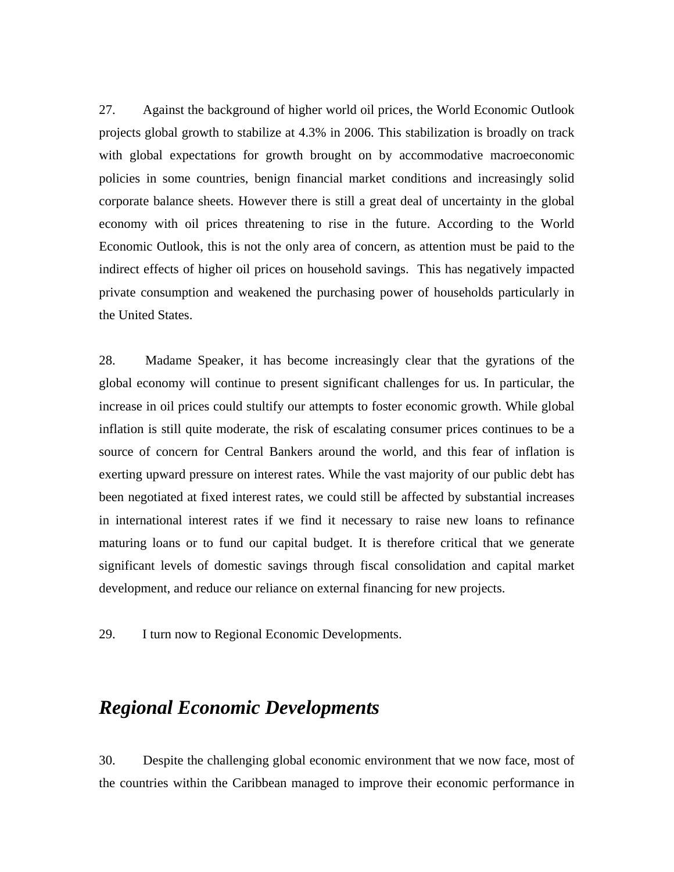27. Against the background of higher world oil prices, the World Economic Outlook projects global growth to stabilize at 4.3% in 2006. This stabilization is broadly on track with global expectations for growth brought on by accommodative macroeconomic policies in some countries, benign financial market conditions and increasingly solid corporate balance sheets. However there is still a great deal of uncertainty in the global economy with oil prices threatening to rise in the future. According to the World Economic Outlook, this is not the only area of concern, as attention must be paid to the indirect effects of higher oil prices on household savings. This has negatively impacted private consumption and weakened the purchasing power of households particularly in the United States.

28. Madame Speaker, it has become increasingly clear that the gyrations of the global economy will continue to present significant challenges for us. In particular, the increase in oil prices could stultify our attempts to foster economic growth. While global inflation is still quite moderate, the risk of escalating consumer prices continues to be a source of concern for Central Bankers around the world, and this fear of inflation is exerting upward pressure on interest rates. While the vast majority of our public debt has been negotiated at fixed interest rates, we could still be affected by substantial increases in international interest rates if we find it necessary to raise new loans to refinance maturing loans or to fund our capital budget. It is therefore critical that we generate significant levels of domestic savings through fiscal consolidation and capital market development, and reduce our reliance on external financing for new projects.

29. I turn now to Regional Economic Developments.

# *Regional Economic Developments*

30. Despite the challenging global economic environment that we now face, most of the countries within the Caribbean managed to improve their economic performance in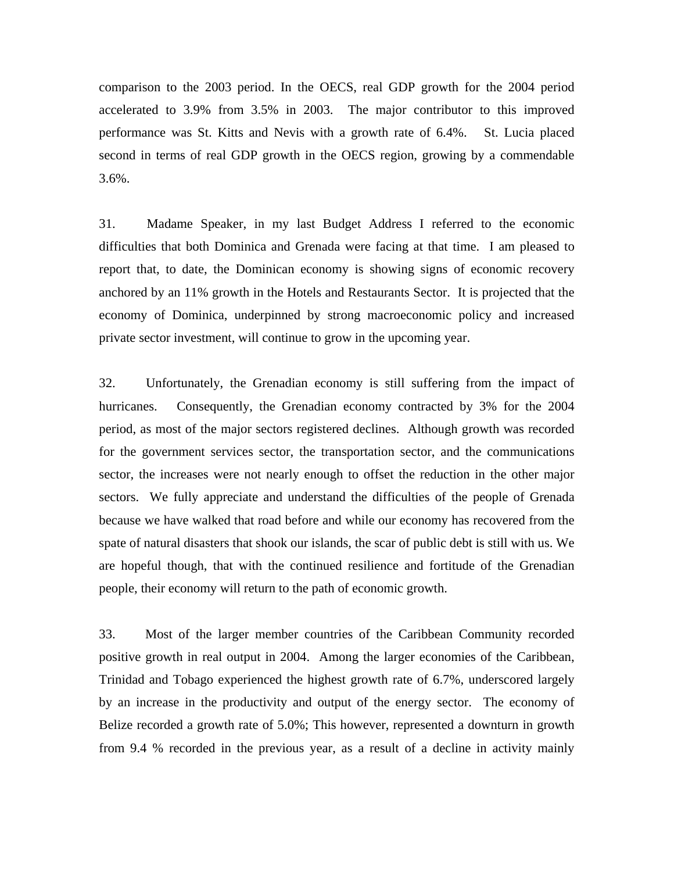comparison to the 2003 period. In the OECS, real GDP growth for the 2004 period accelerated to 3.9% from 3.5% in 2003. The major contributor to this improved performance was St. Kitts and Nevis with a growth rate of 6.4%. St. Lucia placed second in terms of real GDP growth in the OECS region, growing by a commendable 3.6%.

31. Madame Speaker, in my last Budget Address I referred to the economic difficulties that both Dominica and Grenada were facing at that time. I am pleased to report that, to date, the Dominican economy is showing signs of economic recovery anchored by an 11% growth in the Hotels and Restaurants Sector. It is projected that the economy of Dominica, underpinned by strong macroeconomic policy and increased private sector investment, will continue to grow in the upcoming year.

32. Unfortunately, the Grenadian economy is still suffering from the impact of hurricanes. Consequently, the Grenadian economy contracted by 3% for the 2004 period, as most of the major sectors registered declines. Although growth was recorded for the government services sector, the transportation sector, and the communications sector, the increases were not nearly enough to offset the reduction in the other major sectors. We fully appreciate and understand the difficulties of the people of Grenada because we have walked that road before and while our economy has recovered from the spate of natural disasters that shook our islands, the scar of public debt is still with us. We are hopeful though, that with the continued resilience and fortitude of the Grenadian people, their economy will return to the path of economic growth.

33. Most of the larger member countries of the Caribbean Community recorded positive growth in real output in 2004. Among the larger economies of the Caribbean, Trinidad and Tobago experienced the highest growth rate of 6.7%, underscored largely by an increase in the productivity and output of the energy sector. The economy of Belize recorded a growth rate of 5.0%; This however, represented a downturn in growth from 9.4 % recorded in the previous year, as a result of a decline in activity mainly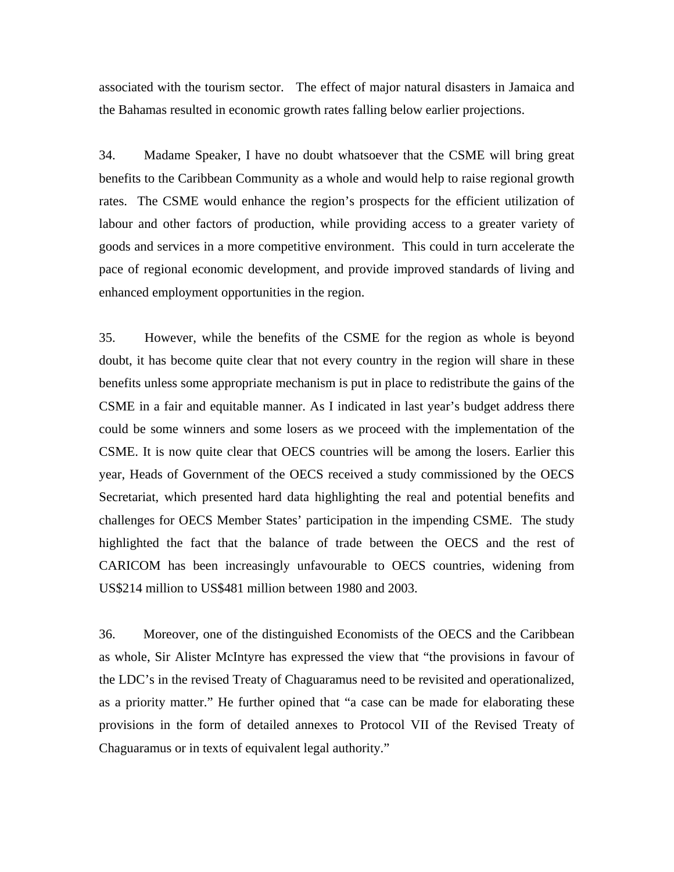associated with the tourism sector. The effect of major natural disasters in Jamaica and the Bahamas resulted in economic growth rates falling below earlier projections.

34. Madame Speaker, I have no doubt whatsoever that the CSME will bring great benefits to the Caribbean Community as a whole and would help to raise regional growth rates. The CSME would enhance the region's prospects for the efficient utilization of labour and other factors of production, while providing access to a greater variety of goods and services in a more competitive environment. This could in turn accelerate the pace of regional economic development, and provide improved standards of living and enhanced employment opportunities in the region.

35. However, while the benefits of the CSME for the region as whole is beyond doubt, it has become quite clear that not every country in the region will share in these benefits unless some appropriate mechanism is put in place to redistribute the gains of the CSME in a fair and equitable manner. As I indicated in last year's budget address there could be some winners and some losers as we proceed with the implementation of the CSME. It is now quite clear that OECS countries will be among the losers. Earlier this year, Heads of Government of the OECS received a study commissioned by the OECS Secretariat, which presented hard data highlighting the real and potential benefits and challenges for OECS Member States' participation in the impending CSME. The study highlighted the fact that the balance of trade between the OECS and the rest of CARICOM has been increasingly unfavourable to OECS countries, widening from US\$214 million to US\$481 million between 1980 and 2003.

36. Moreover, one of the distinguished Economists of the OECS and the Caribbean as whole, Sir Alister McIntyre has expressed the view that "the provisions in favour of the LDC's in the revised Treaty of Chaguaramus need to be revisited and operationalized, as a priority matter." He further opined that "a case can be made for elaborating these provisions in the form of detailed annexes to Protocol VII of the Revised Treaty of Chaguaramus or in texts of equivalent legal authority."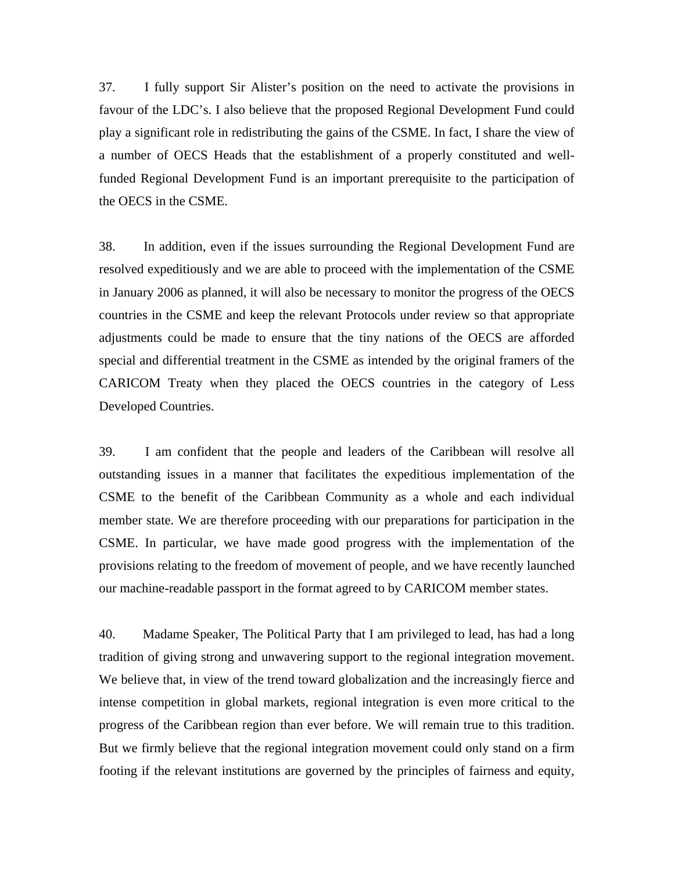37. I fully support Sir Alister's position on the need to activate the provisions in favour of the LDC's. I also believe that the proposed Regional Development Fund could play a significant role in redistributing the gains of the CSME. In fact, I share the view of a number of OECS Heads that the establishment of a properly constituted and wellfunded Regional Development Fund is an important prerequisite to the participation of the OECS in the CSME.

38. In addition, even if the issues surrounding the Regional Development Fund are resolved expeditiously and we are able to proceed with the implementation of the CSME in January 2006 as planned, it will also be necessary to monitor the progress of the OECS countries in the CSME and keep the relevant Protocols under review so that appropriate adjustments could be made to ensure that the tiny nations of the OECS are afforded special and differential treatment in the CSME as intended by the original framers of the CARICOM Treaty when they placed the OECS countries in the category of Less Developed Countries.

39. I am confident that the people and leaders of the Caribbean will resolve all outstanding issues in a manner that facilitates the expeditious implementation of the CSME to the benefit of the Caribbean Community as a whole and each individual member state. We are therefore proceeding with our preparations for participation in the CSME. In particular, we have made good progress with the implementation of the provisions relating to the freedom of movement of people, and we have recently launched our machine-readable passport in the format agreed to by CARICOM member states.

40. Madame Speaker, The Political Party that I am privileged to lead, has had a long tradition of giving strong and unwavering support to the regional integration movement. We believe that, in view of the trend toward globalization and the increasingly fierce and intense competition in global markets, regional integration is even more critical to the progress of the Caribbean region than ever before. We will remain true to this tradition. But we firmly believe that the regional integration movement could only stand on a firm footing if the relevant institutions are governed by the principles of fairness and equity,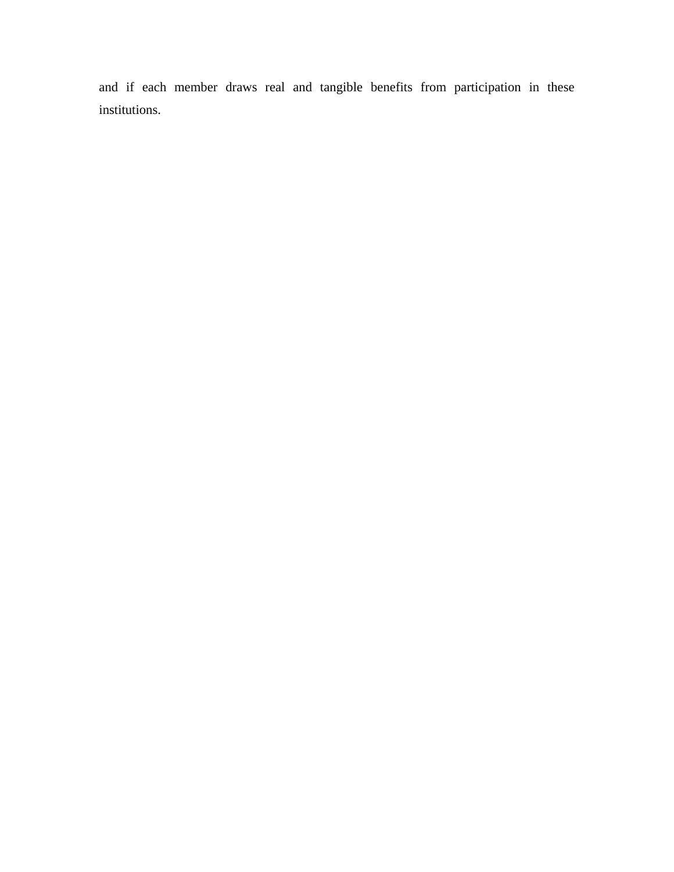and if each member draws real and tangible benefits from participation in these institutions.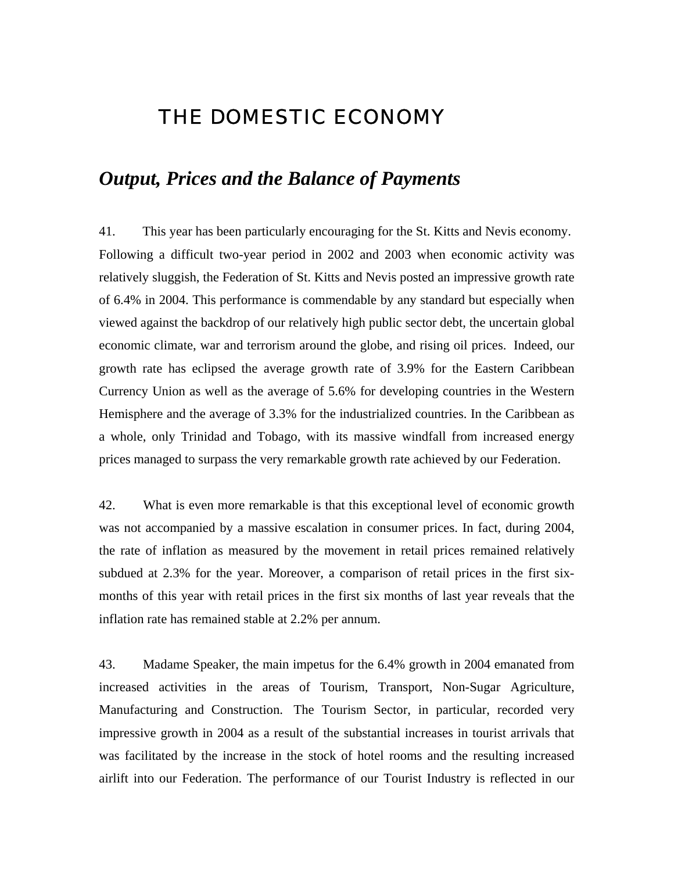# THE DOMESTIC ECONOMY

# *Output, Prices and the Balance of Payments*

41. This year has been particularly encouraging for the St. Kitts and Nevis economy. Following a difficult two-year period in 2002 and 2003 when economic activity was relatively sluggish, the Federation of St. Kitts and Nevis posted an impressive growth rate of 6.4% in 2004. This performance is commendable by any standard but especially when viewed against the backdrop of our relatively high public sector debt, the uncertain global economic climate, war and terrorism around the globe, and rising oil prices. Indeed, our growth rate has eclipsed the average growth rate of 3.9% for the Eastern Caribbean Currency Union as well as the average of 5.6% for developing countries in the Western Hemisphere and the average of 3.3% for the industrialized countries. In the Caribbean as a whole, only Trinidad and Tobago, with its massive windfall from increased energy prices managed to surpass the very remarkable growth rate achieved by our Federation.

42. What is even more remarkable is that this exceptional level of economic growth was not accompanied by a massive escalation in consumer prices. In fact, during 2004, the rate of inflation as measured by the movement in retail prices remained relatively subdued at 2.3% for the year. Moreover, a comparison of retail prices in the first sixmonths of this year with retail prices in the first six months of last year reveals that the inflation rate has remained stable at 2.2% per annum.

43. Madame Speaker, the main impetus for the 6.4% growth in 2004 emanated from increased activities in the areas of Tourism, Transport, Non-Sugar Agriculture, Manufacturing and Construction. The Tourism Sector, in particular, recorded very impressive growth in 2004 as a result of the substantial increases in tourist arrivals that was facilitated by the increase in the stock of hotel rooms and the resulting increased airlift into our Federation. The performance of our Tourist Industry is reflected in our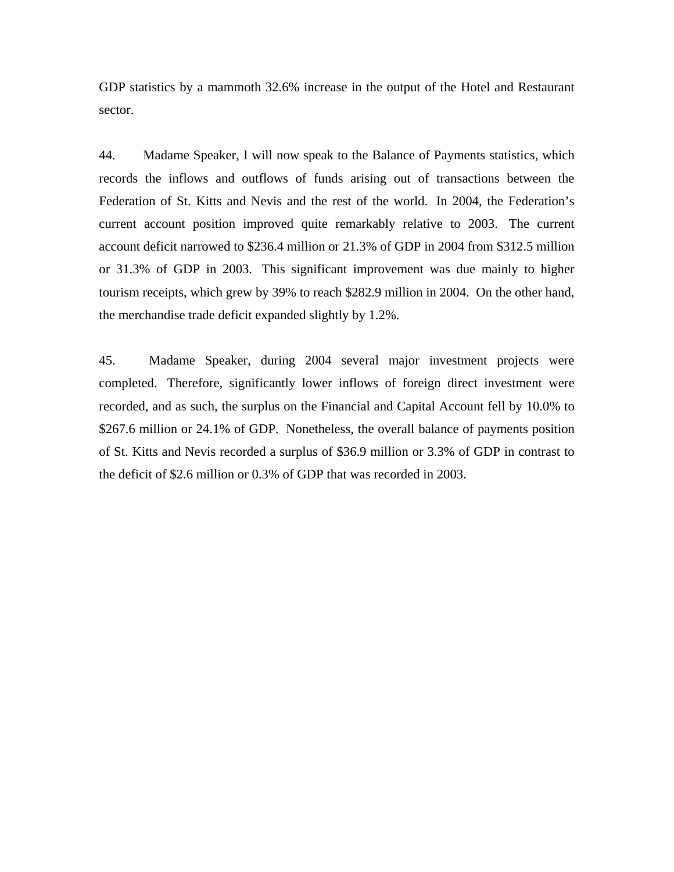GDP statistics by a mammoth 32.6% increase in the output of the Hotel and Restaurant sector.

44. Madame Speaker, I will now speak to the Balance of Payments statistics, which records the inflows and outflows of funds arising out of transactions between the Federation of St. Kitts and Nevis and the rest of the world. In 2004, the Federation's current account position improved quite remarkably relative to 2003. The current account deficit narrowed to \$236.4 million or 21.3% of GDP in 2004 from \$312.5 million or 31.3% of GDP in 2003. This significant improvement was due mainly to higher tourism receipts, which grew by 39% to reach \$282.9 million in 2004. On the other hand, the merchandise trade deficit expanded slightly by 1.2%.

45. Madame Speaker, during 2004 several major investment projects were completed. Therefore, significantly lower inflows of foreign direct investment were recorded, and as such, the surplus on the Financial and Capital Account fell by 10.0% to \$267.6 million or 24.1% of GDP. Nonetheless, the overall balance of payments position of St. Kitts and Nevis recorded a surplus of \$36.9 million or 3.3% of GDP in contrast to the deficit of \$2.6 million or 0.3% of GDP that was recorded in 2003.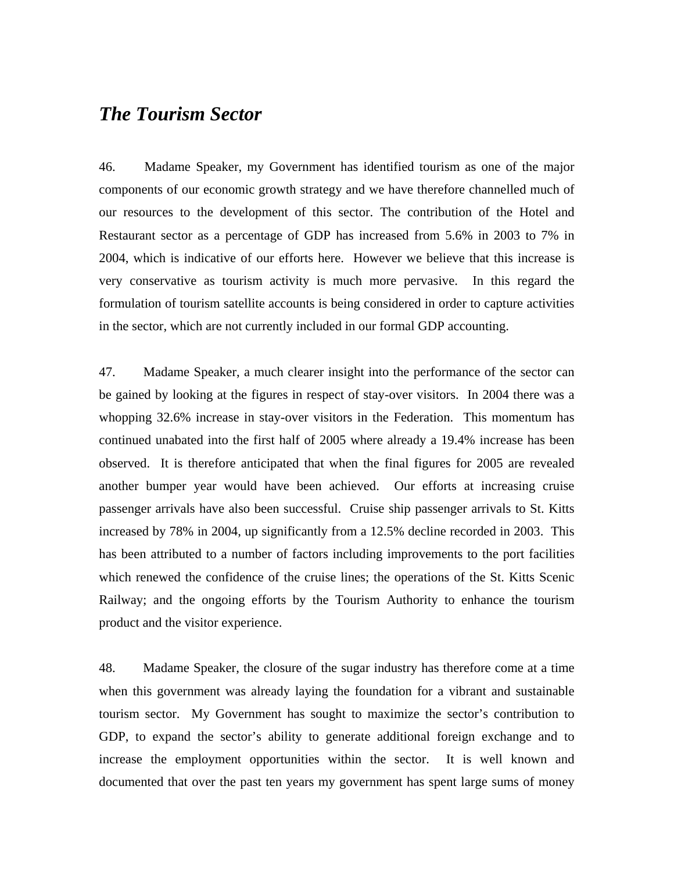# *The Tourism Sector*

46. Madame Speaker, my Government has identified tourism as one of the major components of our economic growth strategy and we have therefore channelled much of our resources to the development of this sector. The contribution of the Hotel and Restaurant sector as a percentage of GDP has increased from 5.6% in 2003 to 7% in 2004, which is indicative of our efforts here. However we believe that this increase is very conservative as tourism activity is much more pervasive. In this regard the formulation of tourism satellite accounts is being considered in order to capture activities in the sector, which are not currently included in our formal GDP accounting.

47. Madame Speaker, a much clearer insight into the performance of the sector can be gained by looking at the figures in respect of stay-over visitors. In 2004 there was a whopping 32.6% increase in stay-over visitors in the Federation. This momentum has continued unabated into the first half of 2005 where already a 19.4% increase has been observed. It is therefore anticipated that when the final figures for 2005 are revealed another bumper year would have been achieved. Our efforts at increasing cruise passenger arrivals have also been successful. Cruise ship passenger arrivals to St. Kitts increased by 78% in 2004, up significantly from a 12.5% decline recorded in 2003. This has been attributed to a number of factors including improvements to the port facilities which renewed the confidence of the cruise lines; the operations of the St. Kitts Scenic Railway; and the ongoing efforts by the Tourism Authority to enhance the tourism product and the visitor experience.

48. Madame Speaker, the closure of the sugar industry has therefore come at a time when this government was already laying the foundation for a vibrant and sustainable tourism sector. My Government has sought to maximize the sector's contribution to GDP, to expand the sector's ability to generate additional foreign exchange and to increase the employment opportunities within the sector. It is well known and documented that over the past ten years my government has spent large sums of money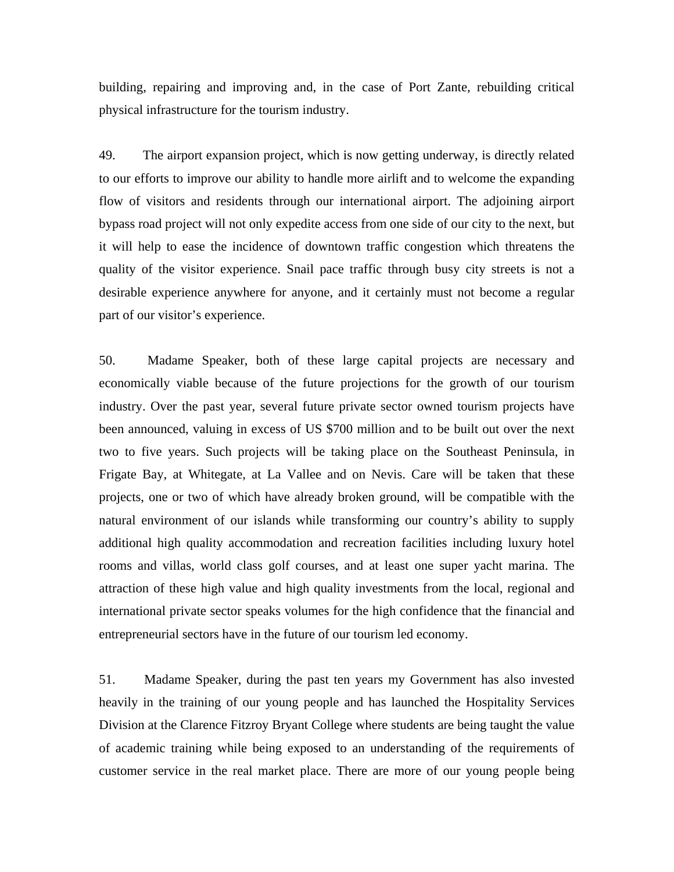building, repairing and improving and, in the case of Port Zante, rebuilding critical physical infrastructure for the tourism industry.

49. The airport expansion project, which is now getting underway, is directly related to our efforts to improve our ability to handle more airlift and to welcome the expanding flow of visitors and residents through our international airport. The adjoining airport bypass road project will not only expedite access from one side of our city to the next, but it will help to ease the incidence of downtown traffic congestion which threatens the quality of the visitor experience. Snail pace traffic through busy city streets is not a desirable experience anywhere for anyone, and it certainly must not become a regular part of our visitor's experience.

50. Madame Speaker, both of these large capital projects are necessary and economically viable because of the future projections for the growth of our tourism industry. Over the past year, several future private sector owned tourism projects have been announced, valuing in excess of US \$700 million and to be built out over the next two to five years. Such projects will be taking place on the Southeast Peninsula, in Frigate Bay, at Whitegate, at La Vallee and on Nevis. Care will be taken that these projects, one or two of which have already broken ground, will be compatible with the natural environment of our islands while transforming our country's ability to supply additional high quality accommodation and recreation facilities including luxury hotel rooms and villas, world class golf courses, and at least one super yacht marina. The attraction of these high value and high quality investments from the local, regional and international private sector speaks volumes for the high confidence that the financial and entrepreneurial sectors have in the future of our tourism led economy.

51. Madame Speaker, during the past ten years my Government has also invested heavily in the training of our young people and has launched the Hospitality Services Division at the Clarence Fitzroy Bryant College where students are being taught the value of academic training while being exposed to an understanding of the requirements of customer service in the real market place. There are more of our young people being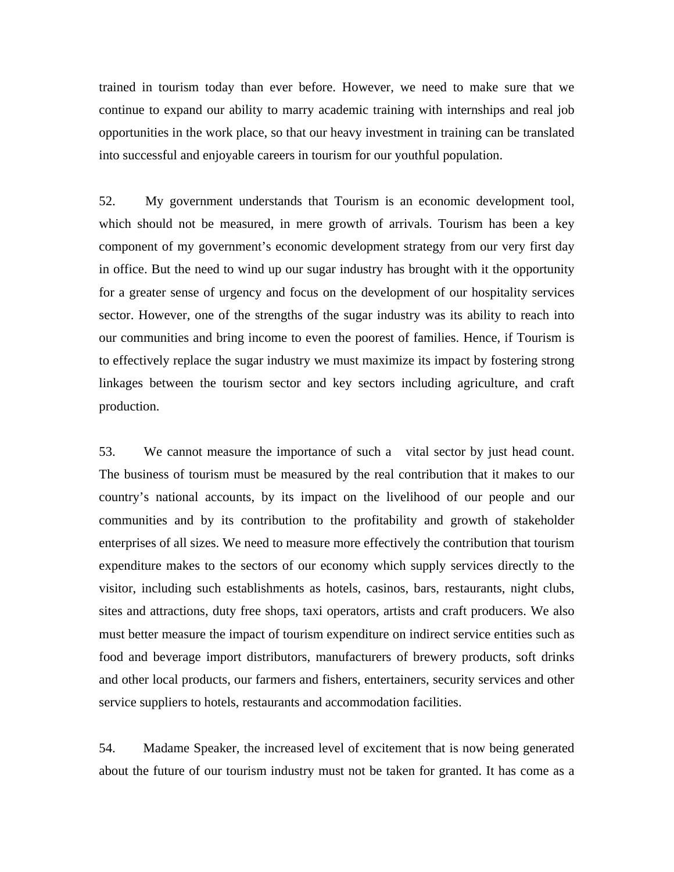trained in tourism today than ever before. However, we need to make sure that we continue to expand our ability to marry academic training with internships and real job opportunities in the work place, so that our heavy investment in training can be translated into successful and enjoyable careers in tourism for our youthful population.

52. My government understands that Tourism is an economic development tool, which should not be measured, in mere growth of arrivals. Tourism has been a key component of my government's economic development strategy from our very first day in office. But the need to wind up our sugar industry has brought with it the opportunity for a greater sense of urgency and focus on the development of our hospitality services sector. However, one of the strengths of the sugar industry was its ability to reach into our communities and bring income to even the poorest of families. Hence, if Tourism is to effectively replace the sugar industry we must maximize its impact by fostering strong linkages between the tourism sector and key sectors including agriculture, and craft production.

53. We cannot measure the importance of such a vital sector by just head count. The business of tourism must be measured by the real contribution that it makes to our country's national accounts, by its impact on the livelihood of our people and our communities and by its contribution to the profitability and growth of stakeholder enterprises of all sizes. We need to measure more effectively the contribution that tourism expenditure makes to the sectors of our economy which supply services directly to the visitor, including such establishments as hotels, casinos, bars, restaurants, night clubs, sites and attractions, duty free shops, taxi operators, artists and craft producers. We also must better measure the impact of tourism expenditure on indirect service entities such as food and beverage import distributors, manufacturers of brewery products, soft drinks and other local products, our farmers and fishers, entertainers, security services and other service suppliers to hotels, restaurants and accommodation facilities.

54. Madame Speaker, the increased level of excitement that is now being generated about the future of our tourism industry must not be taken for granted. It has come as a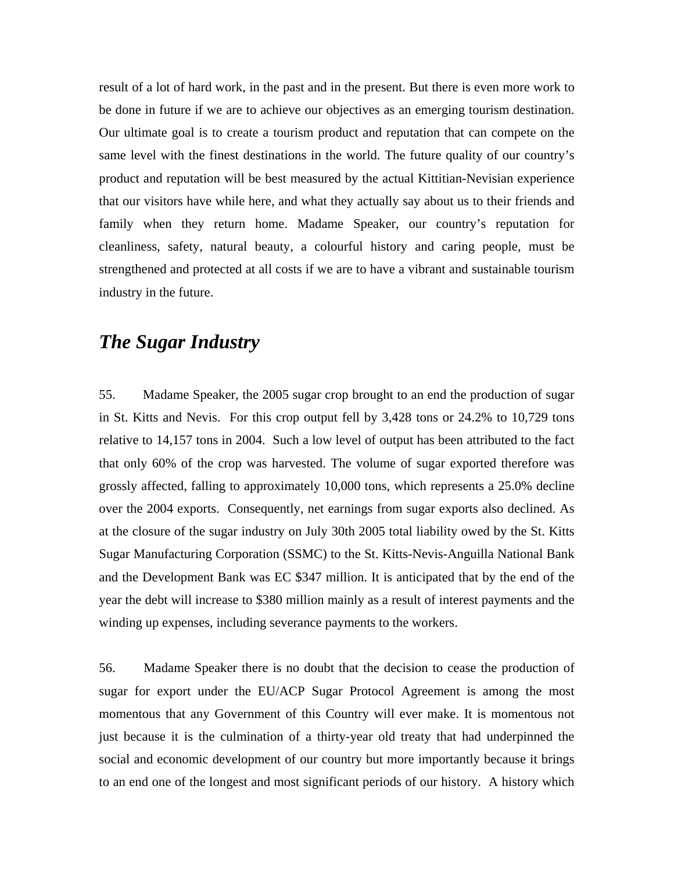result of a lot of hard work, in the past and in the present. But there is even more work to be done in future if we are to achieve our objectives as an emerging tourism destination. Our ultimate goal is to create a tourism product and reputation that can compete on the same level with the finest destinations in the world. The future quality of our country's product and reputation will be best measured by the actual Kittitian-Nevisian experience that our visitors have while here, and what they actually say about us to their friends and family when they return home. Madame Speaker, our country's reputation for cleanliness, safety, natural beauty, a colourful history and caring people, must be strengthened and protected at all costs if we are to have a vibrant and sustainable tourism industry in the future.

# *The Sugar Industry*

55. Madame Speaker, the 2005 sugar crop brought to an end the production of sugar in St. Kitts and Nevis. For this crop output fell by 3,428 tons or 24.2% to 10,729 tons relative to 14,157 tons in 2004. Such a low level of output has been attributed to the fact that only 60% of the crop was harvested. The volume of sugar exported therefore was grossly affected, falling to approximately 10,000 tons, which represents a 25.0% decline over the 2004 exports. Consequently, net earnings from sugar exports also declined. As at the closure of the sugar industry on July 30th 2005 total liability owed by the St. Kitts Sugar Manufacturing Corporation (SSMC) to the St. Kitts-Nevis-Anguilla National Bank and the Development Bank was EC \$347 million. It is anticipated that by the end of the year the debt will increase to \$380 million mainly as a result of interest payments and the winding up expenses, including severance payments to the workers.

56. Madame Speaker there is no doubt that the decision to cease the production of sugar for export under the EU/ACP Sugar Protocol Agreement is among the most momentous that any Government of this Country will ever make. It is momentous not just because it is the culmination of a thirty-year old treaty that had underpinned the social and economic development of our country but more importantly because it brings to an end one of the longest and most significant periods of our history. A history which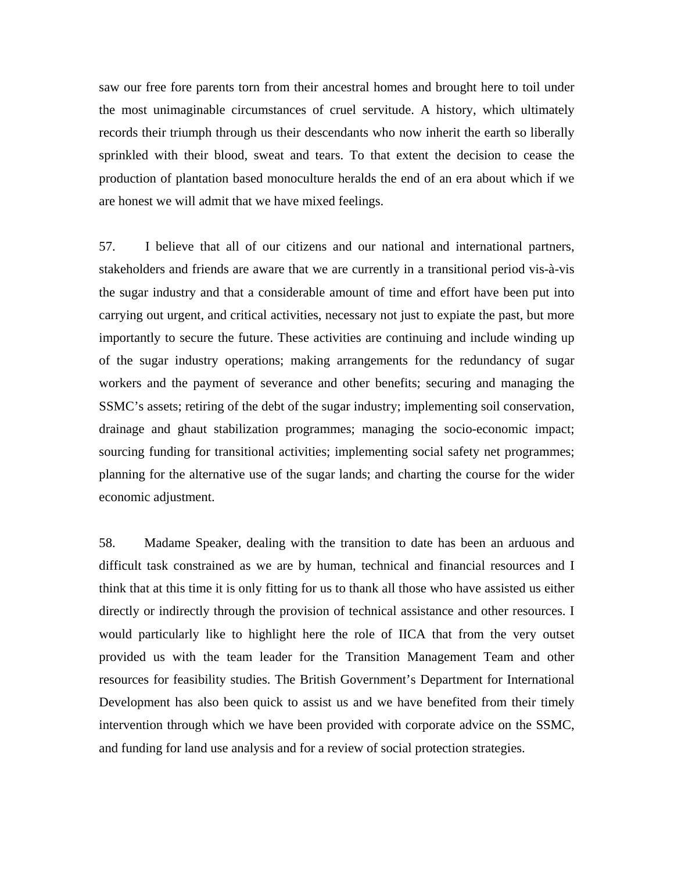saw our free fore parents torn from their ancestral homes and brought here to toil under the most unimaginable circumstances of cruel servitude. A history, which ultimately records their triumph through us their descendants who now inherit the earth so liberally sprinkled with their blood, sweat and tears. To that extent the decision to cease the production of plantation based monoculture heralds the end of an era about which if we are honest we will admit that we have mixed feelings.

57. I believe that all of our citizens and our national and international partners, stakeholders and friends are aware that we are currently in a transitional period vis-à-vis the sugar industry and that a considerable amount of time and effort have been put into carrying out urgent, and critical activities, necessary not just to expiate the past, but more importantly to secure the future. These activities are continuing and include winding up of the sugar industry operations; making arrangements for the redundancy of sugar workers and the payment of severance and other benefits; securing and managing the SSMC's assets; retiring of the debt of the sugar industry; implementing soil conservation, drainage and ghaut stabilization programmes; managing the socio-economic impact; sourcing funding for transitional activities; implementing social safety net programmes; planning for the alternative use of the sugar lands; and charting the course for the wider economic adjustment.

58. Madame Speaker, dealing with the transition to date has been an arduous and difficult task constrained as we are by human, technical and financial resources and I think that at this time it is only fitting for us to thank all those who have assisted us either directly or indirectly through the provision of technical assistance and other resources. I would particularly like to highlight here the role of IICA that from the very outset provided us with the team leader for the Transition Management Team and other resources for feasibility studies. The British Government's Department for International Development has also been quick to assist us and we have benefited from their timely intervention through which we have been provided with corporate advice on the SSMC, and funding for land use analysis and for a review of social protection strategies.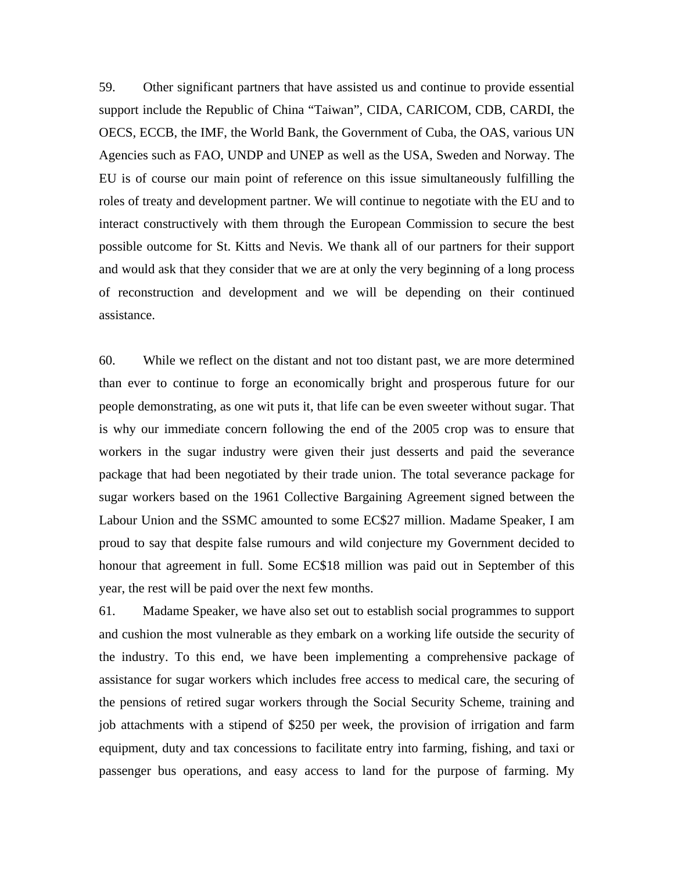59. Other significant partners that have assisted us and continue to provide essential support include the Republic of China "Taiwan", CIDA, CARICOM, CDB, CARDI, the OECS, ECCB, the IMF, the World Bank, the Government of Cuba, the OAS, various UN Agencies such as FAO, UNDP and UNEP as well as the USA, Sweden and Norway. The EU is of course our main point of reference on this issue simultaneously fulfilling the roles of treaty and development partner. We will continue to negotiate with the EU and to interact constructively with them through the European Commission to secure the best possible outcome for St. Kitts and Nevis. We thank all of our partners for their support and would ask that they consider that we are at only the very beginning of a long process of reconstruction and development and we will be depending on their continued assistance.

60. While we reflect on the distant and not too distant past, we are more determined than ever to continue to forge an economically bright and prosperous future for our people demonstrating, as one wit puts it, that life can be even sweeter without sugar. That is why our immediate concern following the end of the 2005 crop was to ensure that workers in the sugar industry were given their just desserts and paid the severance package that had been negotiated by their trade union. The total severance package for sugar workers based on the 1961 Collective Bargaining Agreement signed between the Labour Union and the SSMC amounted to some EC\$27 million. Madame Speaker, I am proud to say that despite false rumours and wild conjecture my Government decided to honour that agreement in full. Some EC\$18 million was paid out in September of this year, the rest will be paid over the next few months.

61. Madame Speaker, we have also set out to establish social programmes to support and cushion the most vulnerable as they embark on a working life outside the security of the industry. To this end, we have been implementing a comprehensive package of assistance for sugar workers which includes free access to medical care, the securing of the pensions of retired sugar workers through the Social Security Scheme, training and job attachments with a stipend of \$250 per week, the provision of irrigation and farm equipment, duty and tax concessions to facilitate entry into farming, fishing, and taxi or passenger bus operations, and easy access to land for the purpose of farming. My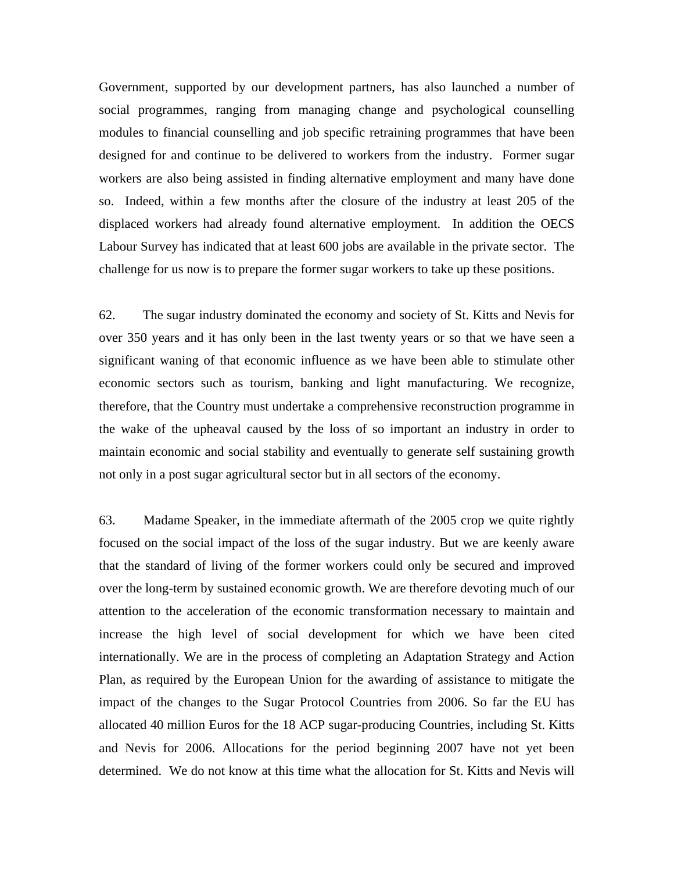Government, supported by our development partners, has also launched a number of social programmes, ranging from managing change and psychological counselling modules to financial counselling and job specific retraining programmes that have been designed for and continue to be delivered to workers from the industry. Former sugar workers are also being assisted in finding alternative employment and many have done so. Indeed, within a few months after the closure of the industry at least 205 of the displaced workers had already found alternative employment. In addition the OECS Labour Survey has indicated that at least 600 jobs are available in the private sector. The challenge for us now is to prepare the former sugar workers to take up these positions.

62. The sugar industry dominated the economy and society of St. Kitts and Nevis for over 350 years and it has only been in the last twenty years or so that we have seen a significant waning of that economic influence as we have been able to stimulate other economic sectors such as tourism, banking and light manufacturing. We recognize, therefore, that the Country must undertake a comprehensive reconstruction programme in the wake of the upheaval caused by the loss of so important an industry in order to maintain economic and social stability and eventually to generate self sustaining growth not only in a post sugar agricultural sector but in all sectors of the economy.

63. Madame Speaker, in the immediate aftermath of the 2005 crop we quite rightly focused on the social impact of the loss of the sugar industry. But we are keenly aware that the standard of living of the former workers could only be secured and improved over the long-term by sustained economic growth. We are therefore devoting much of our attention to the acceleration of the economic transformation necessary to maintain and increase the high level of social development for which we have been cited internationally. We are in the process of completing an Adaptation Strategy and Action Plan, as required by the European Union for the awarding of assistance to mitigate the impact of the changes to the Sugar Protocol Countries from 2006. So far the EU has allocated 40 million Euros for the 18 ACP sugar-producing Countries, including St. Kitts and Nevis for 2006. Allocations for the period beginning 2007 have not yet been determined. We do not know at this time what the allocation for St. Kitts and Nevis will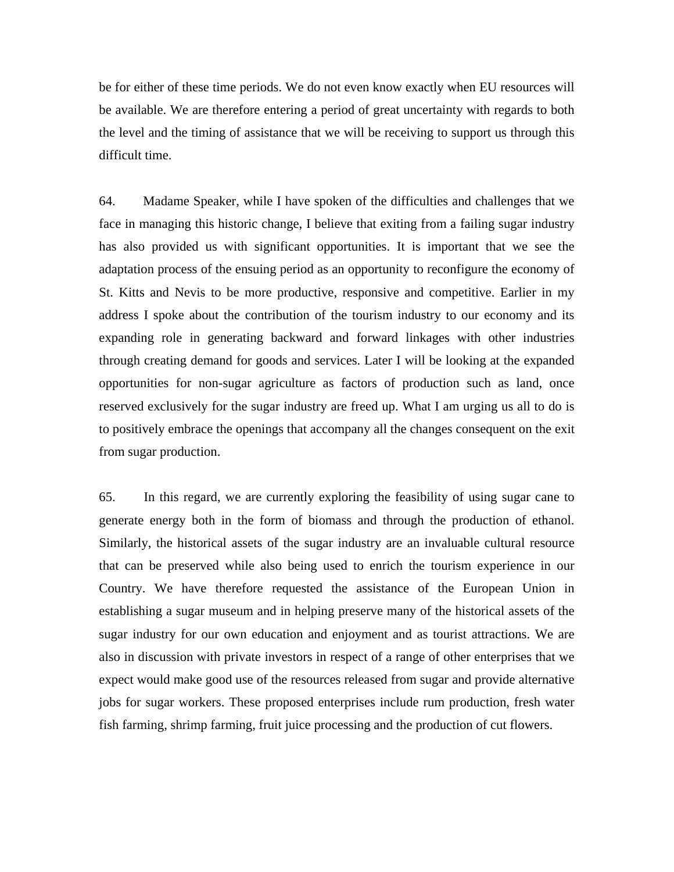be for either of these time periods. We do not even know exactly when EU resources will be available. We are therefore entering a period of great uncertainty with regards to both the level and the timing of assistance that we will be receiving to support us through this difficult time.

64. Madame Speaker, while I have spoken of the difficulties and challenges that we face in managing this historic change, I believe that exiting from a failing sugar industry has also provided us with significant opportunities. It is important that we see the adaptation process of the ensuing period as an opportunity to reconfigure the economy of St. Kitts and Nevis to be more productive, responsive and competitive. Earlier in my address I spoke about the contribution of the tourism industry to our economy and its expanding role in generating backward and forward linkages with other industries through creating demand for goods and services. Later I will be looking at the expanded opportunities for non-sugar agriculture as factors of production such as land, once reserved exclusively for the sugar industry are freed up. What I am urging us all to do is to positively embrace the openings that accompany all the changes consequent on the exit from sugar production.

65. In this regard, we are currently exploring the feasibility of using sugar cane to generate energy both in the form of biomass and through the production of ethanol. Similarly, the historical assets of the sugar industry are an invaluable cultural resource that can be preserved while also being used to enrich the tourism experience in our Country. We have therefore requested the assistance of the European Union in establishing a sugar museum and in helping preserve many of the historical assets of the sugar industry for our own education and enjoyment and as tourist attractions. We are also in discussion with private investors in respect of a range of other enterprises that we expect would make good use of the resources released from sugar and provide alternative jobs for sugar workers. These proposed enterprises include rum production, fresh water fish farming, shrimp farming, fruit juice processing and the production of cut flowers.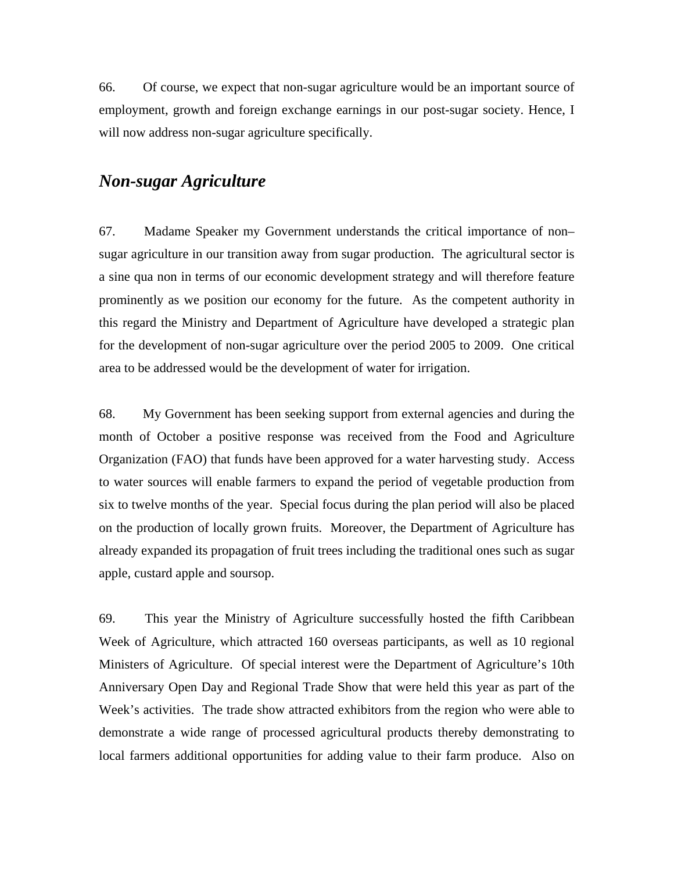66. Of course, we expect that non-sugar agriculture would be an important source of employment, growth and foreign exchange earnings in our post-sugar society. Hence, I will now address non-sugar agriculture specifically.

# *Non-sugar Agriculture*

67. Madame Speaker my Government understands the critical importance of non– sugar agriculture in our transition away from sugar production. The agricultural sector is a sine qua non in terms of our economic development strategy and will therefore feature prominently as we position our economy for the future. As the competent authority in this regard the Ministry and Department of Agriculture have developed a strategic plan for the development of non-sugar agriculture over the period 2005 to 2009. One critical area to be addressed would be the development of water for irrigation.

68. My Government has been seeking support from external agencies and during the month of October a positive response was received from the Food and Agriculture Organization (FAO) that funds have been approved for a water harvesting study. Access to water sources will enable farmers to expand the period of vegetable production from six to twelve months of the year. Special focus during the plan period will also be placed on the production of locally grown fruits. Moreover, the Department of Agriculture has already expanded its propagation of fruit trees including the traditional ones such as sugar apple, custard apple and soursop.

69. This year the Ministry of Agriculture successfully hosted the fifth Caribbean Week of Agriculture, which attracted 160 overseas participants, as well as 10 regional Ministers of Agriculture. Of special interest were the Department of Agriculture's 10th Anniversary Open Day and Regional Trade Show that were held this year as part of the Week's activities. The trade show attracted exhibitors from the region who were able to demonstrate a wide range of processed agricultural products thereby demonstrating to local farmers additional opportunities for adding value to their farm produce. Also on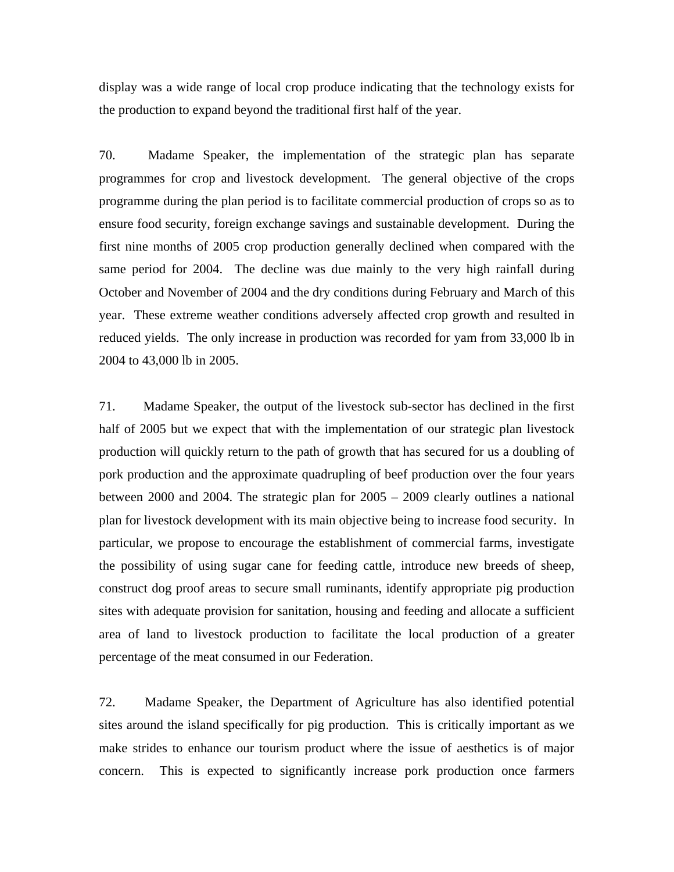display was a wide range of local crop produce indicating that the technology exists for the production to expand beyond the traditional first half of the year.

70. Madame Speaker, the implementation of the strategic plan has separate programmes for crop and livestock development. The general objective of the crops programme during the plan period is to facilitate commercial production of crops so as to ensure food security, foreign exchange savings and sustainable development. During the first nine months of 2005 crop production generally declined when compared with the same period for 2004. The decline was due mainly to the very high rainfall during October and November of 2004 and the dry conditions during February and March of this year. These extreme weather conditions adversely affected crop growth and resulted in reduced yields. The only increase in production was recorded for yam from 33,000 lb in 2004 to 43,000 lb in 2005.

71. Madame Speaker, the output of the livestock sub-sector has declined in the first half of 2005 but we expect that with the implementation of our strategic plan livestock production will quickly return to the path of growth that has secured for us a doubling of pork production and the approximate quadrupling of beef production over the four years between 2000 and 2004. The strategic plan for 2005 – 2009 clearly outlines a national plan for livestock development with its main objective being to increase food security. In particular, we propose to encourage the establishment of commercial farms, investigate the possibility of using sugar cane for feeding cattle, introduce new breeds of sheep, construct dog proof areas to secure small ruminants, identify appropriate pig production sites with adequate provision for sanitation, housing and feeding and allocate a sufficient area of land to livestock production to facilitate the local production of a greater percentage of the meat consumed in our Federation.

72. Madame Speaker, the Department of Agriculture has also identified potential sites around the island specifically for pig production. This is critically important as we make strides to enhance our tourism product where the issue of aesthetics is of major concern. This is expected to significantly increase pork production once farmers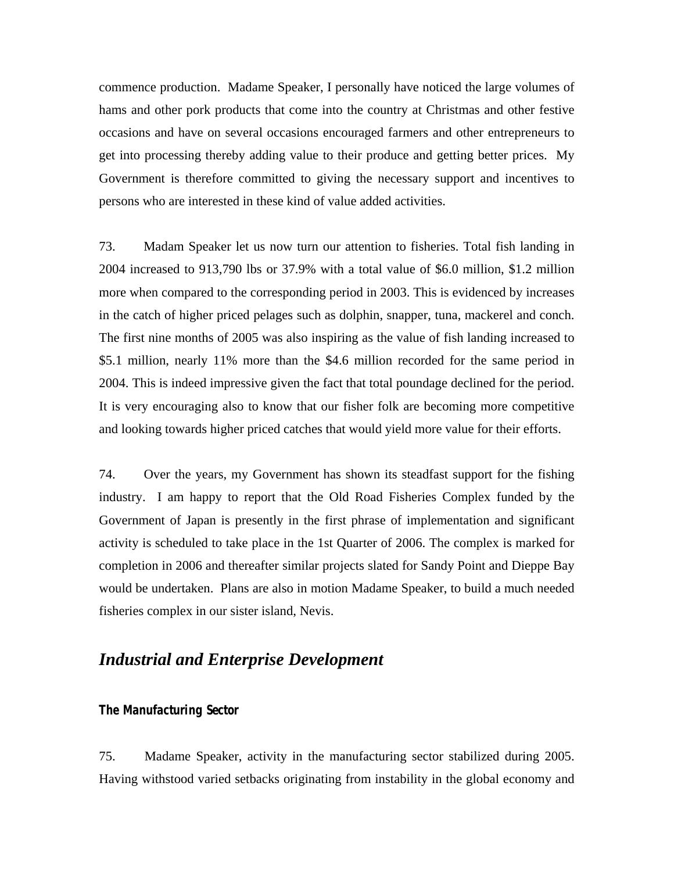commence production. Madame Speaker, I personally have noticed the large volumes of hams and other pork products that come into the country at Christmas and other festive occasions and have on several occasions encouraged farmers and other entrepreneurs to get into processing thereby adding value to their produce and getting better prices. My Government is therefore committed to giving the necessary support and incentives to persons who are interested in these kind of value added activities.

73. Madam Speaker let us now turn our attention to fisheries. Total fish landing in 2004 increased to 913,790 lbs or 37.9% with a total value of \$6.0 million, \$1.2 million more when compared to the corresponding period in 2003. This is evidenced by increases in the catch of higher priced pelages such as dolphin, snapper, tuna, mackerel and conch. The first nine months of 2005 was also inspiring as the value of fish landing increased to \$5.1 million, nearly 11% more than the \$4.6 million recorded for the same period in 2004. This is indeed impressive given the fact that total poundage declined for the period. It is very encouraging also to know that our fisher folk are becoming more competitive and looking towards higher priced catches that would yield more value for their efforts.

74. Over the years, my Government has shown its steadfast support for the fishing industry. I am happy to report that the Old Road Fisheries Complex funded by the Government of Japan is presently in the first phrase of implementation and significant activity is scheduled to take place in the 1st Quarter of 2006. The complex is marked for completion in 2006 and thereafter similar projects slated for Sandy Point and Dieppe Bay would be undertaken. Plans are also in motion Madame Speaker, to build a much needed fisheries complex in our sister island, Nevis.

# *Industrial and Enterprise Development*

#### **The Manufacturing Sector**

75. Madame Speaker, activity in the manufacturing sector stabilized during 2005. Having withstood varied setbacks originating from instability in the global economy and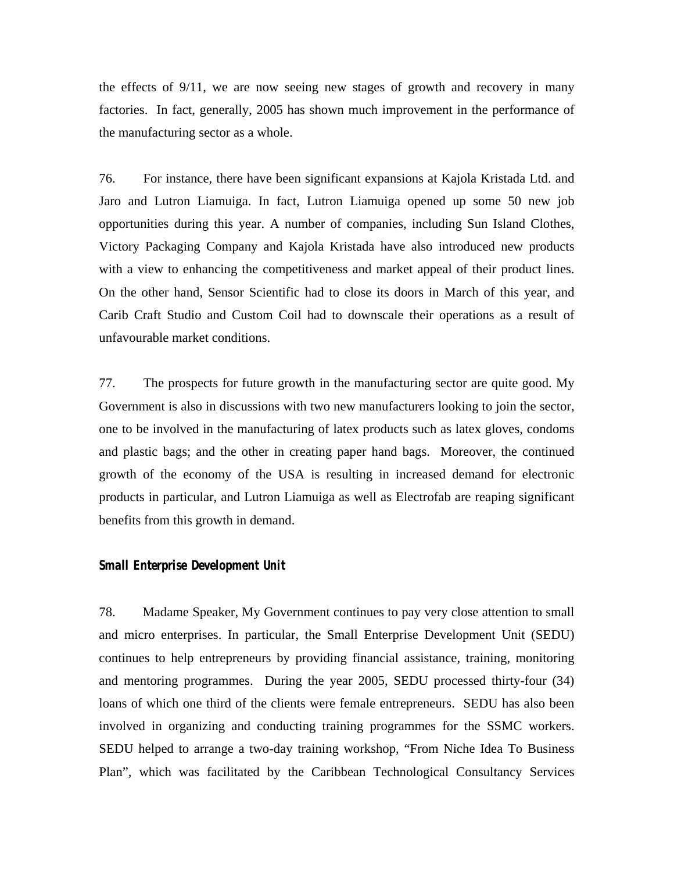the effects of 9/11, we are now seeing new stages of growth and recovery in many factories. In fact, generally, 2005 has shown much improvement in the performance of the manufacturing sector as a whole.

76. For instance, there have been significant expansions at Kajola Kristada Ltd. and Jaro and Lutron Liamuiga. In fact, Lutron Liamuiga opened up some 50 new job opportunities during this year. A number of companies, including Sun Island Clothes, Victory Packaging Company and Kajola Kristada have also introduced new products with a view to enhancing the competitiveness and market appeal of their product lines. On the other hand, Sensor Scientific had to close its doors in March of this year, and Carib Craft Studio and Custom Coil had to downscale their operations as a result of unfavourable market conditions.

77. The prospects for future growth in the manufacturing sector are quite good. My Government is also in discussions with two new manufacturers looking to join the sector, one to be involved in the manufacturing of latex products such as latex gloves, condoms and plastic bags; and the other in creating paper hand bags. Moreover, the continued growth of the economy of the USA is resulting in increased demand for electronic products in particular, and Lutron Liamuiga as well as Electrofab are reaping significant benefits from this growth in demand.

#### **Small Enterprise Development Unit**

78. Madame Speaker, My Government continues to pay very close attention to small and micro enterprises. In particular, the Small Enterprise Development Unit (SEDU) continues to help entrepreneurs by providing financial assistance, training, monitoring and mentoring programmes. During the year 2005, SEDU processed thirty-four (34) loans of which one third of the clients were female entrepreneurs. SEDU has also been involved in organizing and conducting training programmes for the SSMC workers. SEDU helped to arrange a two-day training workshop, "From Niche Idea To Business Plan", which was facilitated by the Caribbean Technological Consultancy Services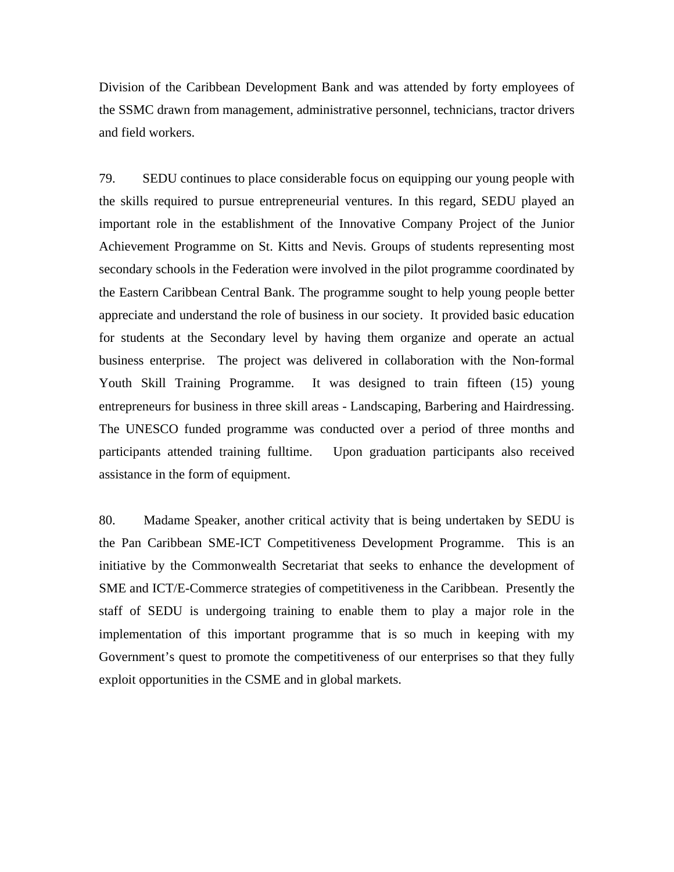Division of the Caribbean Development Bank and was attended by forty employees of the SSMC drawn from management, administrative personnel, technicians, tractor drivers and field workers.

79. SEDU continues to place considerable focus on equipping our young people with the skills required to pursue entrepreneurial ventures. In this regard, SEDU played an important role in the establishment of the Innovative Company Project of the Junior Achievement Programme on St. Kitts and Nevis. Groups of students representing most secondary schools in the Federation were involved in the pilot programme coordinated by the Eastern Caribbean Central Bank. The programme sought to help young people better appreciate and understand the role of business in our society. It provided basic education for students at the Secondary level by having them organize and operate an actual business enterprise. The project was delivered in collaboration with the Non-formal Youth Skill Training Programme. It was designed to train fifteen (15) young entrepreneurs for business in three skill areas - Landscaping, Barbering and Hairdressing. The UNESCO funded programme was conducted over a period of three months and participants attended training fulltime. Upon graduation participants also received assistance in the form of equipment.

80. Madame Speaker, another critical activity that is being undertaken by SEDU is the Pan Caribbean SME-ICT Competitiveness Development Programme. This is an initiative by the Commonwealth Secretariat that seeks to enhance the development of SME and ICT/E-Commerce strategies of competitiveness in the Caribbean. Presently the staff of SEDU is undergoing training to enable them to play a major role in the implementation of this important programme that is so much in keeping with my Government's quest to promote the competitiveness of our enterprises so that they fully exploit opportunities in the CSME and in global markets.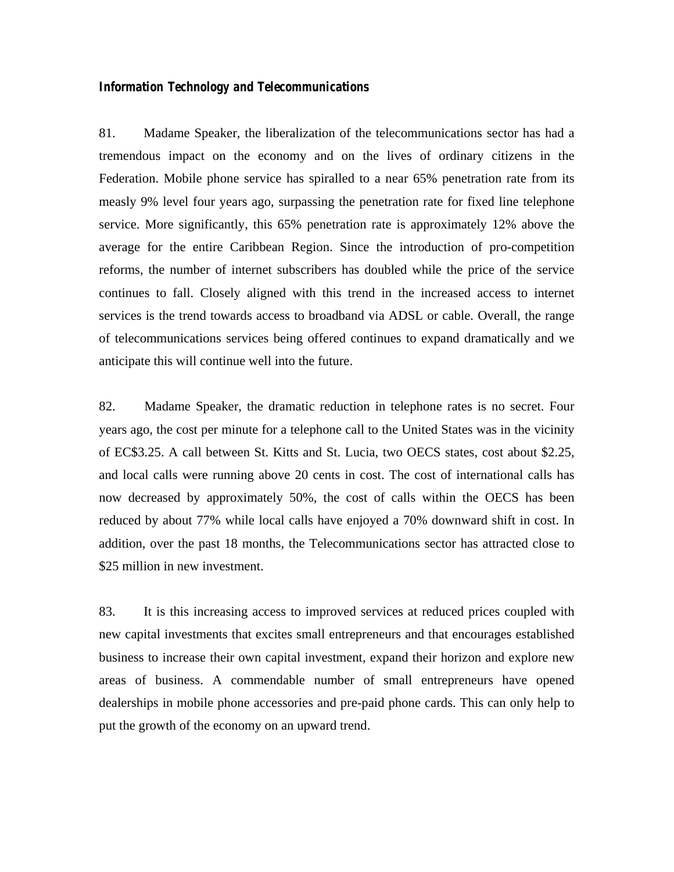#### **Information Technology and Telecommunications**

81. Madame Speaker, the liberalization of the telecommunications sector has had a tremendous impact on the economy and on the lives of ordinary citizens in the Federation. Mobile phone service has spiralled to a near 65% penetration rate from its measly 9% level four years ago, surpassing the penetration rate for fixed line telephone service. More significantly, this 65% penetration rate is approximately 12% above the average for the entire Caribbean Region. Since the introduction of pro-competition reforms, the number of internet subscribers has doubled while the price of the service continues to fall. Closely aligned with this trend in the increased access to internet services is the trend towards access to broadband via ADSL or cable. Overall, the range of telecommunications services being offered continues to expand dramatically and we anticipate this will continue well into the future.

82. Madame Speaker, the dramatic reduction in telephone rates is no secret. Four years ago, the cost per minute for a telephone call to the United States was in the vicinity of EC\$3.25. A call between St. Kitts and St. Lucia, two OECS states, cost about \$2.25, and local calls were running above 20 cents in cost. The cost of international calls has now decreased by approximately 50%, the cost of calls within the OECS has been reduced by about 77% while local calls have enjoyed a 70% downward shift in cost. In addition, over the past 18 months, the Telecommunications sector has attracted close to \$25 million in new investment.

83. It is this increasing access to improved services at reduced prices coupled with new capital investments that excites small entrepreneurs and that encourages established business to increase their own capital investment, expand their horizon and explore new areas of business. A commendable number of small entrepreneurs have opened dealerships in mobile phone accessories and pre-paid phone cards. This can only help to put the growth of the economy on an upward trend.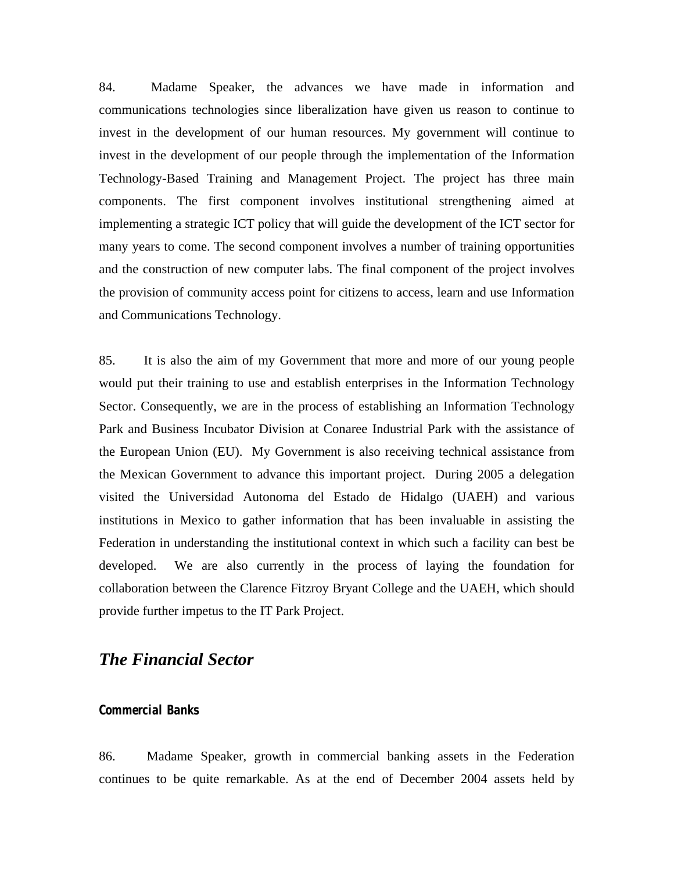84. Madame Speaker, the advances we have made in information and communications technologies since liberalization have given us reason to continue to invest in the development of our human resources. My government will continue to invest in the development of our people through the implementation of the Information Technology-Based Training and Management Project. The project has three main components. The first component involves institutional strengthening aimed at implementing a strategic ICT policy that will guide the development of the ICT sector for many years to come. The second component involves a number of training opportunities and the construction of new computer labs. The final component of the project involves the provision of community access point for citizens to access, learn and use Information and Communications Technology.

85. It is also the aim of my Government that more and more of our young people would put their training to use and establish enterprises in the Information Technology Sector. Consequently, we are in the process of establishing an Information Technology Park and Business Incubator Division at Conaree Industrial Park with the assistance of the European Union (EU). My Government is also receiving technical assistance from the Mexican Government to advance this important project. During 2005 a delegation visited the Universidad Autonoma del Estado de Hidalgo (UAEH) and various institutions in Mexico to gather information that has been invaluable in assisting the Federation in understanding the institutional context in which such a facility can best be developed. We are also currently in the process of laying the foundation for collaboration between the Clarence Fitzroy Bryant College and the UAEH, which should provide further impetus to the IT Park Project.

### *The Financial Sector*

#### **Commercial Banks**

86. Madame Speaker, growth in commercial banking assets in the Federation continues to be quite remarkable. As at the end of December 2004 assets held by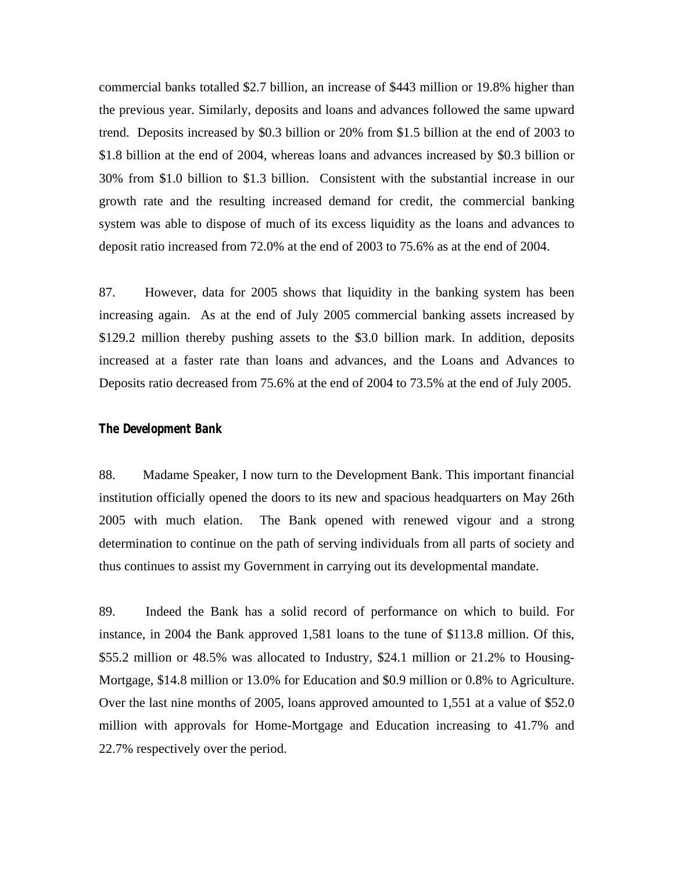commercial banks totalled \$2.7 billion, an increase of \$443 million or 19.8% higher than the previous year. Similarly, deposits and loans and advances followed the same upward trend. Deposits increased by \$0.3 billion or 20% from \$1.5 billion at the end of 2003 to \$1.8 billion at the end of 2004, whereas loans and advances increased by \$0.3 billion or 30% from \$1.0 billion to \$1.3 billion. Consistent with the substantial increase in our growth rate and the resulting increased demand for credit, the commercial banking system was able to dispose of much of its excess liquidity as the loans and advances to deposit ratio increased from 72.0% at the end of 2003 to 75.6% as at the end of 2004.

87. However, data for 2005 shows that liquidity in the banking system has been increasing again. As at the end of July 2005 commercial banking assets increased by \$129.2 million thereby pushing assets to the \$3.0 billion mark. In addition, deposits increased at a faster rate than loans and advances, and the Loans and Advances to Deposits ratio decreased from 75.6% at the end of 2004 to 73.5% at the end of July 2005.

#### **The Development Bank**

88. Madame Speaker, I now turn to the Development Bank. This important financial institution officially opened the doors to its new and spacious headquarters on May 26th 2005 with much elation. The Bank opened with renewed vigour and a strong determination to continue on the path of serving individuals from all parts of society and thus continues to assist my Government in carrying out its developmental mandate.

89. Indeed the Bank has a solid record of performance on which to build. For instance, in 2004 the Bank approved 1,581 loans to the tune of \$113.8 million. Of this, \$55.2 million or 48.5% was allocated to Industry, \$24.1 million or 21.2% to Housing-Mortgage, \$14.8 million or 13.0% for Education and \$0.9 million or 0.8% to Agriculture. Over the last nine months of 2005, loans approved amounted to 1,551 at a value of \$52.0 million with approvals for Home-Mortgage and Education increasing to 41.7% and 22.7% respectively over the period.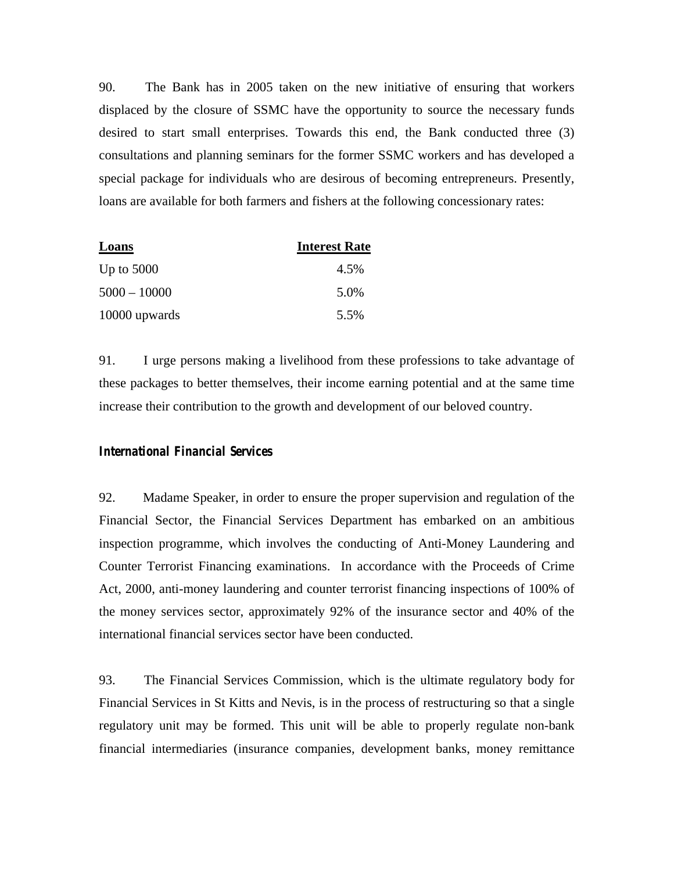90. The Bank has in 2005 taken on the new initiative of ensuring that workers displaced by the closure of SSMC have the opportunity to source the necessary funds desired to start small enterprises. Towards this end, the Bank conducted three (3) consultations and planning seminars for the former SSMC workers and has developed a special package for individuals who are desirous of becoming entrepreneurs. Presently, loans are available for both farmers and fishers at the following concessionary rates:

| Loans          | <b>Interest Rate</b> |
|----------------|----------------------|
| Up to $5000$   | 4.5%                 |
| $5000 - 10000$ | 5.0%                 |
| 10000 upwards  | 5.5%                 |

91. I urge persons making a livelihood from these professions to take advantage of these packages to better themselves, their income earning potential and at the same time increase their contribution to the growth and development of our beloved country.

#### **International Financial Services**

92. Madame Speaker, in order to ensure the proper supervision and regulation of the Financial Sector, the Financial Services Department has embarked on an ambitious inspection programme, which involves the conducting of Anti-Money Laundering and Counter Terrorist Financing examinations. In accordance with the Proceeds of Crime Act, 2000, anti-money laundering and counter terrorist financing inspections of 100% of the money services sector, approximately 92% of the insurance sector and 40% of the international financial services sector have been conducted.

93. The Financial Services Commission, which is the ultimate regulatory body for Financial Services in St Kitts and Nevis, is in the process of restructuring so that a single regulatory unit may be formed. This unit will be able to properly regulate non-bank financial intermediaries (insurance companies, development banks, money remittance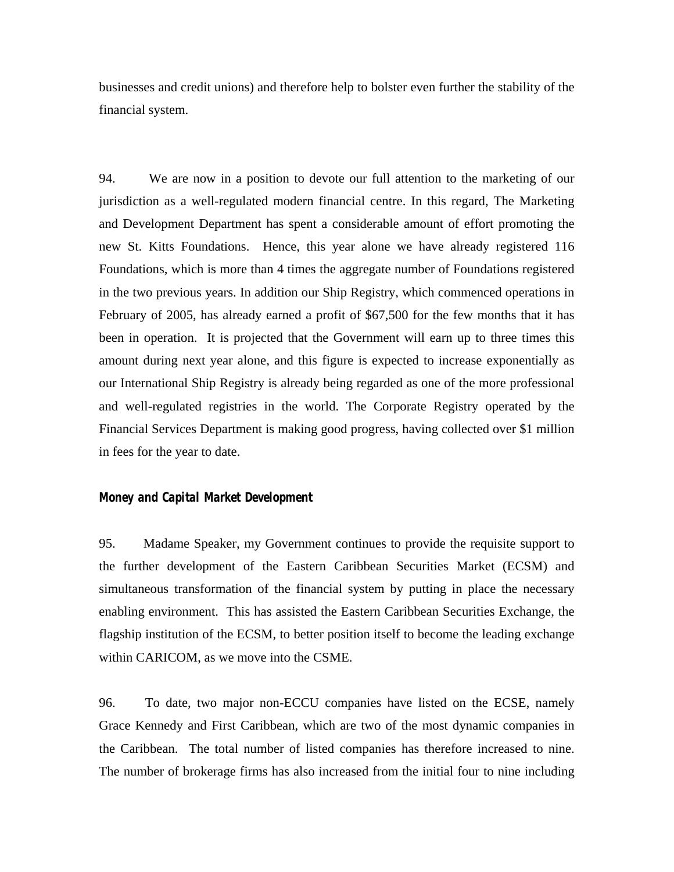businesses and credit unions) and therefore help to bolster even further the stability of the financial system.

94. We are now in a position to devote our full attention to the marketing of our jurisdiction as a well-regulated modern financial centre. In this regard, The Marketing and Development Department has spent a considerable amount of effort promoting the new St. Kitts Foundations. Hence, this year alone we have already registered 116 Foundations, which is more than 4 times the aggregate number of Foundations registered in the two previous years. In addition our Ship Registry, which commenced operations in February of 2005, has already earned a profit of \$67,500 for the few months that it has been in operation. It is projected that the Government will earn up to three times this amount during next year alone, and this figure is expected to increase exponentially as our International Ship Registry is already being regarded as one of the more professional and well-regulated registries in the world. The Corporate Registry operated by the Financial Services Department is making good progress, having collected over \$1 million in fees for the year to date.

#### **Money and Capital Market Development**

95. Madame Speaker, my Government continues to provide the requisite support to the further development of the Eastern Caribbean Securities Market (ECSM) and simultaneous transformation of the financial system by putting in place the necessary enabling environment. This has assisted the Eastern Caribbean Securities Exchange, the flagship institution of the ECSM, to better position itself to become the leading exchange within CARICOM, as we move into the CSME.

96. To date, two major non-ECCU companies have listed on the ECSE, namely Grace Kennedy and First Caribbean, which are two of the most dynamic companies in the Caribbean. The total number of listed companies has therefore increased to nine. The number of brokerage firms has also increased from the initial four to nine including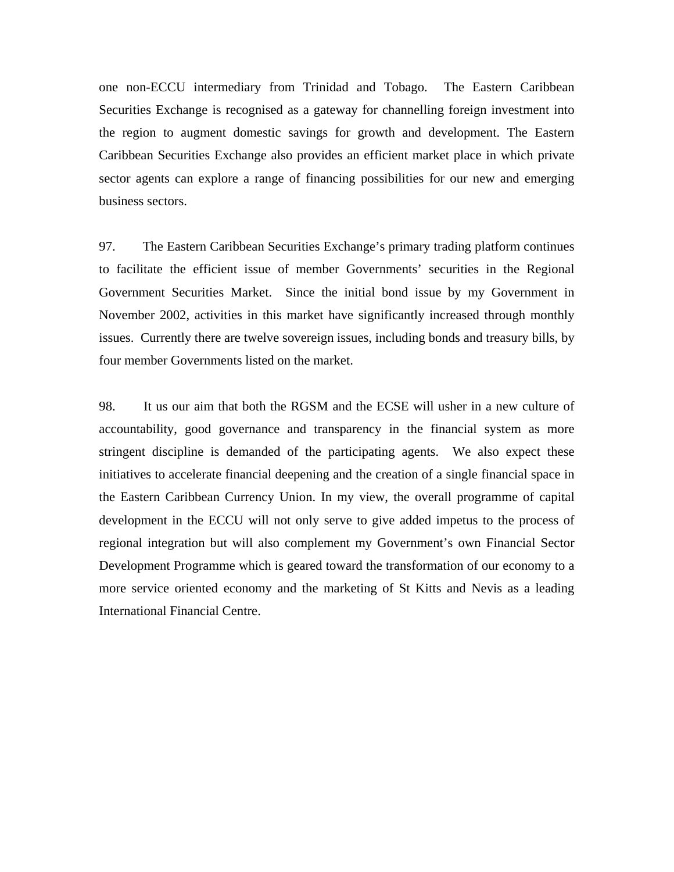one non-ECCU intermediary from Trinidad and Tobago. The Eastern Caribbean Securities Exchange is recognised as a gateway for channelling foreign investment into the region to augment domestic savings for growth and development. The Eastern Caribbean Securities Exchange also provides an efficient market place in which private sector agents can explore a range of financing possibilities for our new and emerging business sectors.

97. The Eastern Caribbean Securities Exchange's primary trading platform continues to facilitate the efficient issue of member Governments' securities in the Regional Government Securities Market. Since the initial bond issue by my Government in November 2002, activities in this market have significantly increased through monthly issues. Currently there are twelve sovereign issues, including bonds and treasury bills, by four member Governments listed on the market.

98. It us our aim that both the RGSM and the ECSE will usher in a new culture of accountability, good governance and transparency in the financial system as more stringent discipline is demanded of the participating agents. We also expect these initiatives to accelerate financial deepening and the creation of a single financial space in the Eastern Caribbean Currency Union. In my view, the overall programme of capital development in the ECCU will not only serve to give added impetus to the process of regional integration but will also complement my Government's own Financial Sector Development Programme which is geared toward the transformation of our economy to a more service oriented economy and the marketing of St Kitts and Nevis as a leading International Financial Centre.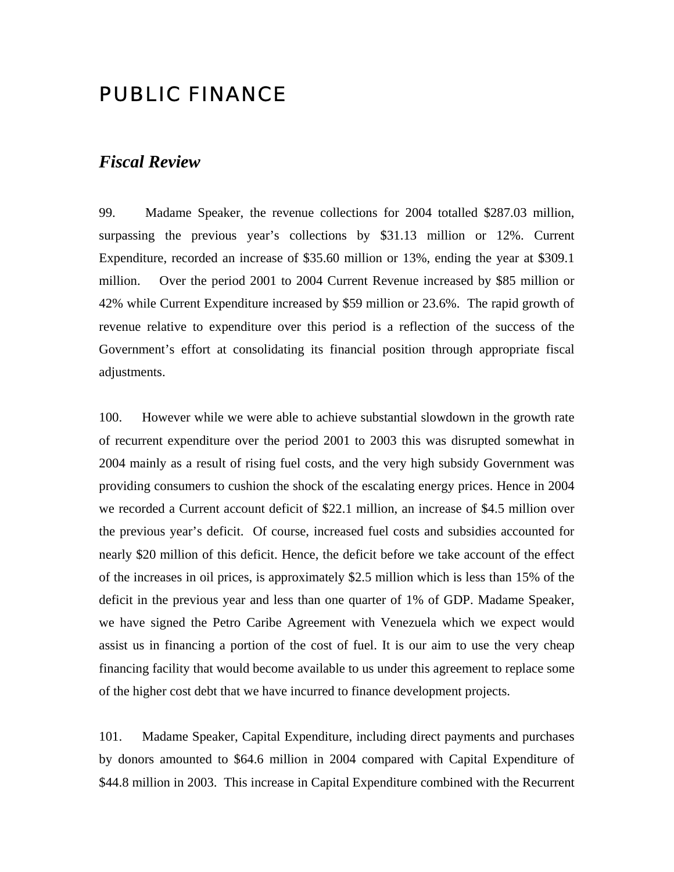# PUBLIC FINANCE

### *Fiscal Review*

99. Madame Speaker, the revenue collections for 2004 totalled \$287.03 million, surpassing the previous year's collections by \$31.13 million or 12%. Current Expenditure, recorded an increase of \$35.60 million or 13%, ending the year at \$309.1 million. Over the period 2001 to 2004 Current Revenue increased by \$85 million or 42% while Current Expenditure increased by \$59 million or 23.6%. The rapid growth of revenue relative to expenditure over this period is a reflection of the success of the Government's effort at consolidating its financial position through appropriate fiscal adjustments.

100. However while we were able to achieve substantial slowdown in the growth rate of recurrent expenditure over the period 2001 to 2003 this was disrupted somewhat in 2004 mainly as a result of rising fuel costs, and the very high subsidy Government was providing consumers to cushion the shock of the escalating energy prices. Hence in 2004 we recorded a Current account deficit of \$22.1 million, an increase of \$4.5 million over the previous year's deficit. Of course, increased fuel costs and subsidies accounted for nearly \$20 million of this deficit. Hence, the deficit before we take account of the effect of the increases in oil prices, is approximately \$2.5 million which is less than 15% of the deficit in the previous year and less than one quarter of 1% of GDP. Madame Speaker, we have signed the Petro Caribe Agreement with Venezuela which we expect would assist us in financing a portion of the cost of fuel. It is our aim to use the very cheap financing facility that would become available to us under this agreement to replace some of the higher cost debt that we have incurred to finance development projects.

101. Madame Speaker, Capital Expenditure, including direct payments and purchases by donors amounted to \$64.6 million in 2004 compared with Capital Expenditure of \$44.8 million in 2003. This increase in Capital Expenditure combined with the Recurrent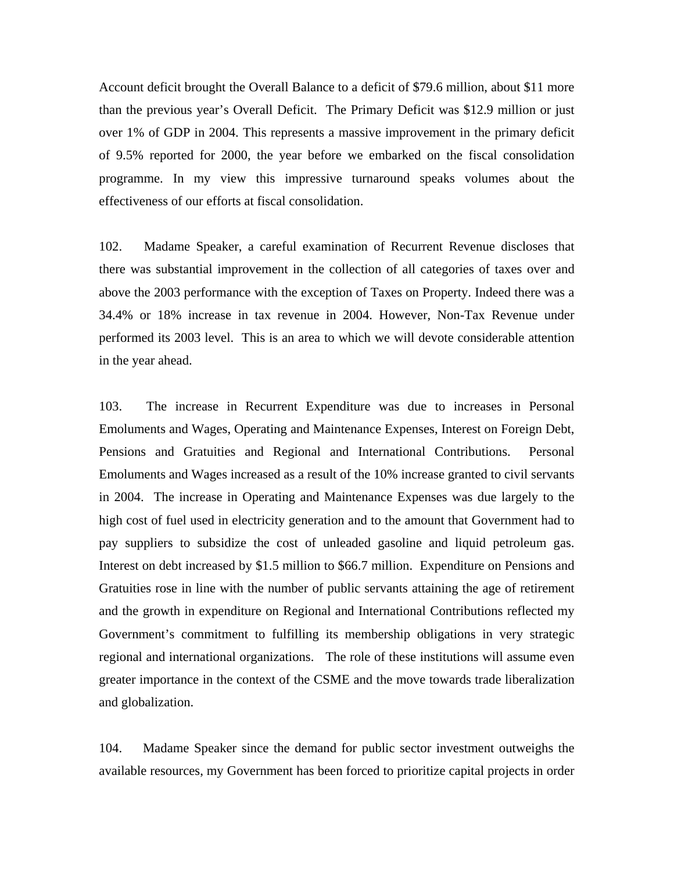Account deficit brought the Overall Balance to a deficit of \$79.6 million, about \$11 more than the previous year's Overall Deficit. The Primary Deficit was \$12.9 million or just over 1% of GDP in 2004. This represents a massive improvement in the primary deficit of 9.5% reported for 2000, the year before we embarked on the fiscal consolidation programme. In my view this impressive turnaround speaks volumes about the effectiveness of our efforts at fiscal consolidation.

102. Madame Speaker, a careful examination of Recurrent Revenue discloses that there was substantial improvement in the collection of all categories of taxes over and above the 2003 performance with the exception of Taxes on Property. Indeed there was a 34.4% or 18% increase in tax revenue in 2004. However, Non-Tax Revenue under performed its 2003 level. This is an area to which we will devote considerable attention in the year ahead.

103. The increase in Recurrent Expenditure was due to increases in Personal Emoluments and Wages, Operating and Maintenance Expenses, Interest on Foreign Debt, Pensions and Gratuities and Regional and International Contributions. Personal Emoluments and Wages increased as a result of the 10% increase granted to civil servants in 2004. The increase in Operating and Maintenance Expenses was due largely to the high cost of fuel used in electricity generation and to the amount that Government had to pay suppliers to subsidize the cost of unleaded gasoline and liquid petroleum gas. Interest on debt increased by \$1.5 million to \$66.7 million. Expenditure on Pensions and Gratuities rose in line with the number of public servants attaining the age of retirement and the growth in expenditure on Regional and International Contributions reflected my Government's commitment to fulfilling its membership obligations in very strategic regional and international organizations. The role of these institutions will assume even greater importance in the context of the CSME and the move towards trade liberalization and globalization.

104. Madame Speaker since the demand for public sector investment outweighs the available resources, my Government has been forced to prioritize capital projects in order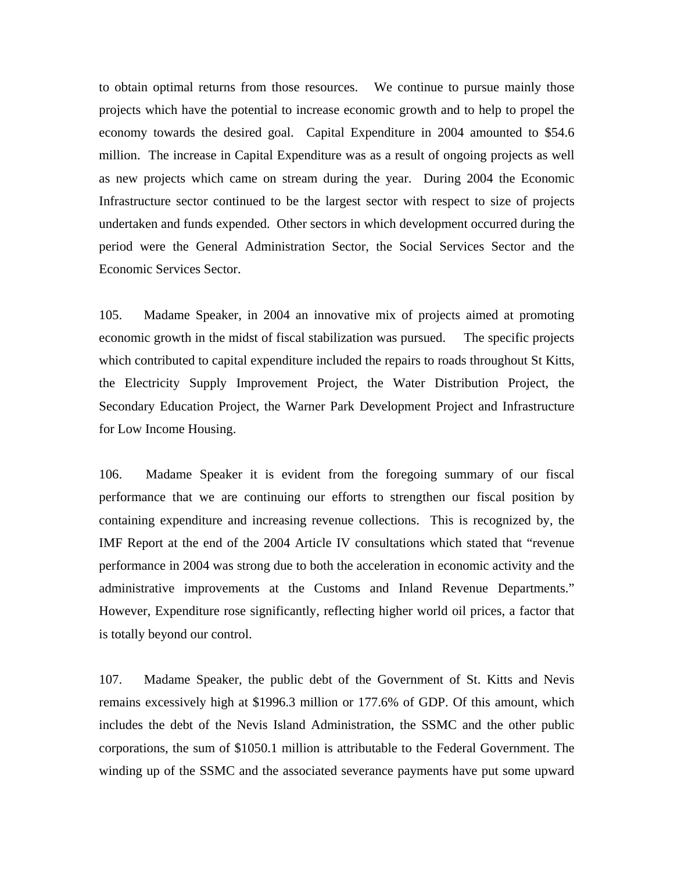to obtain optimal returns from those resources. We continue to pursue mainly those projects which have the potential to increase economic growth and to help to propel the economy towards the desired goal. Capital Expenditure in 2004 amounted to \$54.6 million. The increase in Capital Expenditure was as a result of ongoing projects as well as new projects which came on stream during the year. During 2004 the Economic Infrastructure sector continued to be the largest sector with respect to size of projects undertaken and funds expended. Other sectors in which development occurred during the period were the General Administration Sector, the Social Services Sector and the Economic Services Sector.

105. Madame Speaker, in 2004 an innovative mix of projects aimed at promoting economic growth in the midst of fiscal stabilization was pursued. The specific projects which contributed to capital expenditure included the repairs to roads throughout St Kitts, the Electricity Supply Improvement Project, the Water Distribution Project, the Secondary Education Project, the Warner Park Development Project and Infrastructure for Low Income Housing.

106. Madame Speaker it is evident from the foregoing summary of our fiscal performance that we are continuing our efforts to strengthen our fiscal position by containing expenditure and increasing revenue collections. This is recognized by, the IMF Report at the end of the 2004 Article IV consultations which stated that "revenue performance in 2004 was strong due to both the acceleration in economic activity and the administrative improvements at the Customs and Inland Revenue Departments." However, Expenditure rose significantly, reflecting higher world oil prices, a factor that is totally beyond our control.

107. Madame Speaker, the public debt of the Government of St. Kitts and Nevis remains excessively high at \$1996.3 million or 177.6% of GDP. Of this amount, which includes the debt of the Nevis Island Administration, the SSMC and the other public corporations, the sum of \$1050.1 million is attributable to the Federal Government. The winding up of the SSMC and the associated severance payments have put some upward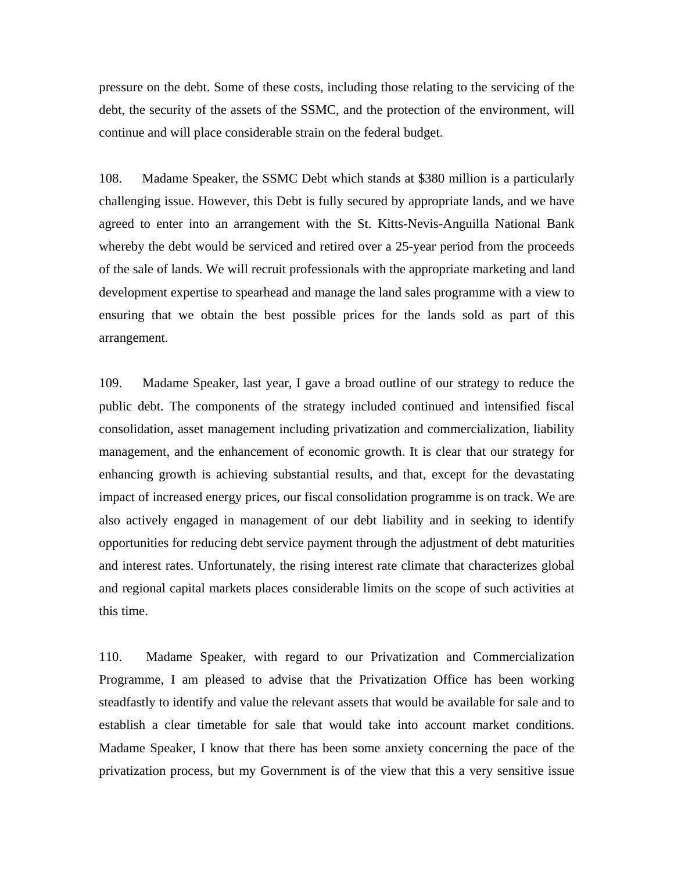pressure on the debt. Some of these costs, including those relating to the servicing of the debt, the security of the assets of the SSMC, and the protection of the environment, will continue and will place considerable strain on the federal budget.

108. Madame Speaker, the SSMC Debt which stands at \$380 million is a particularly challenging issue. However, this Debt is fully secured by appropriate lands, and we have agreed to enter into an arrangement with the St. Kitts-Nevis-Anguilla National Bank whereby the debt would be serviced and retired over a 25-year period from the proceeds of the sale of lands. We will recruit professionals with the appropriate marketing and land development expertise to spearhead and manage the land sales programme with a view to ensuring that we obtain the best possible prices for the lands sold as part of this arrangement.

109. Madame Speaker, last year, I gave a broad outline of our strategy to reduce the public debt. The components of the strategy included continued and intensified fiscal consolidation, asset management including privatization and commercialization, liability management, and the enhancement of economic growth. It is clear that our strategy for enhancing growth is achieving substantial results, and that, except for the devastating impact of increased energy prices, our fiscal consolidation programme is on track. We are also actively engaged in management of our debt liability and in seeking to identify opportunities for reducing debt service payment through the adjustment of debt maturities and interest rates. Unfortunately, the rising interest rate climate that characterizes global and regional capital markets places considerable limits on the scope of such activities at this time.

110. Madame Speaker, with regard to our Privatization and Commercialization Programme, I am pleased to advise that the Privatization Office has been working steadfastly to identify and value the relevant assets that would be available for sale and to establish a clear timetable for sale that would take into account market conditions. Madame Speaker, I know that there has been some anxiety concerning the pace of the privatization process, but my Government is of the view that this a very sensitive issue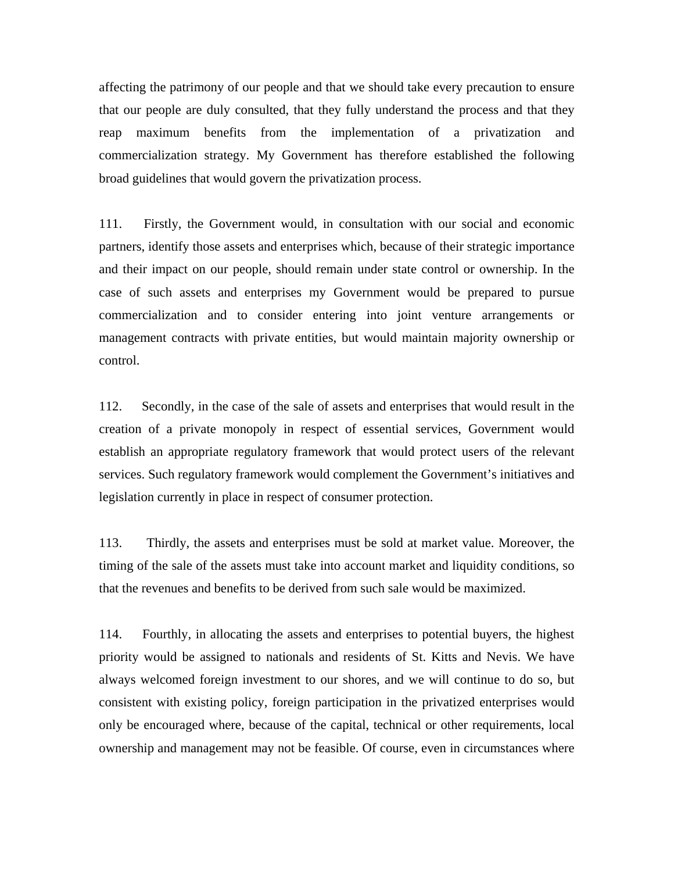affecting the patrimony of our people and that we should take every precaution to ensure that our people are duly consulted, that they fully understand the process and that they reap maximum benefits from the implementation of a privatization and commercialization strategy. My Government has therefore established the following broad guidelines that would govern the privatization process.

111. Firstly, the Government would, in consultation with our social and economic partners, identify those assets and enterprises which, because of their strategic importance and their impact on our people, should remain under state control or ownership. In the case of such assets and enterprises my Government would be prepared to pursue commercialization and to consider entering into joint venture arrangements or management contracts with private entities, but would maintain majority ownership or control.

112. Secondly, in the case of the sale of assets and enterprises that would result in the creation of a private monopoly in respect of essential services, Government would establish an appropriate regulatory framework that would protect users of the relevant services. Such regulatory framework would complement the Government's initiatives and legislation currently in place in respect of consumer protection.

113. Thirdly, the assets and enterprises must be sold at market value. Moreover, the timing of the sale of the assets must take into account market and liquidity conditions, so that the revenues and benefits to be derived from such sale would be maximized.

114. Fourthly, in allocating the assets and enterprises to potential buyers, the highest priority would be assigned to nationals and residents of St. Kitts and Nevis. We have always welcomed foreign investment to our shores, and we will continue to do so, but consistent with existing policy, foreign participation in the privatized enterprises would only be encouraged where, because of the capital, technical or other requirements, local ownership and management may not be feasible. Of course, even in circumstances where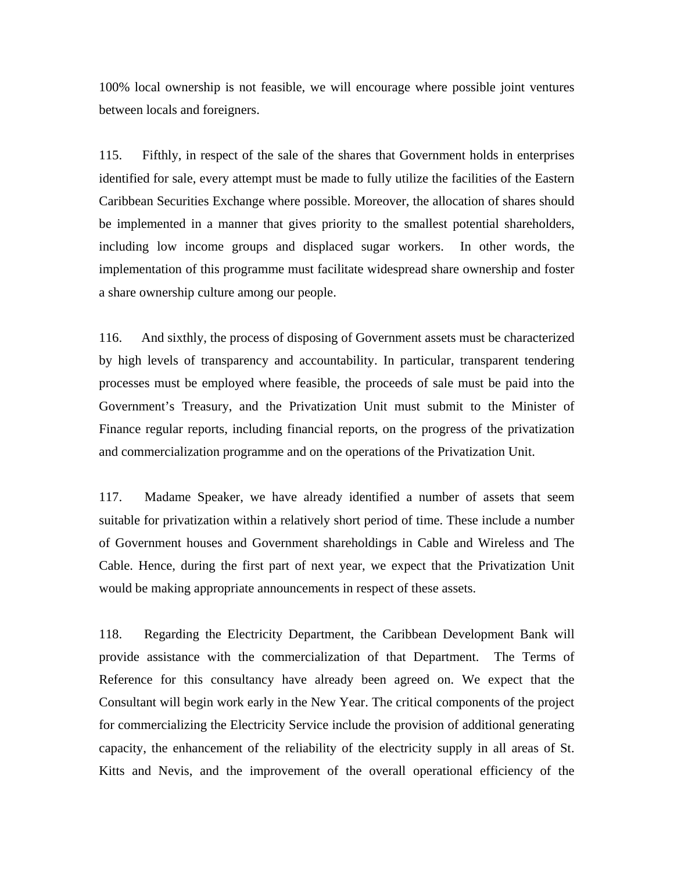100% local ownership is not feasible, we will encourage where possible joint ventures between locals and foreigners.

115. Fifthly, in respect of the sale of the shares that Government holds in enterprises identified for sale, every attempt must be made to fully utilize the facilities of the Eastern Caribbean Securities Exchange where possible. Moreover, the allocation of shares should be implemented in a manner that gives priority to the smallest potential shareholders, including low income groups and displaced sugar workers. In other words, the implementation of this programme must facilitate widespread share ownership and foster a share ownership culture among our people.

116. And sixthly, the process of disposing of Government assets must be characterized by high levels of transparency and accountability. In particular, transparent tendering processes must be employed where feasible, the proceeds of sale must be paid into the Government's Treasury, and the Privatization Unit must submit to the Minister of Finance regular reports, including financial reports, on the progress of the privatization and commercialization programme and on the operations of the Privatization Unit.

117. Madame Speaker, we have already identified a number of assets that seem suitable for privatization within a relatively short period of time. These include a number of Government houses and Government shareholdings in Cable and Wireless and The Cable. Hence, during the first part of next year, we expect that the Privatization Unit would be making appropriate announcements in respect of these assets.

118. Regarding the Electricity Department, the Caribbean Development Bank will provide assistance with the commercialization of that Department. The Terms of Reference for this consultancy have already been agreed on. We expect that the Consultant will begin work early in the New Year. The critical components of the project for commercializing the Electricity Service include the provision of additional generating capacity, the enhancement of the reliability of the electricity supply in all areas of St. Kitts and Nevis, and the improvement of the overall operational efficiency of the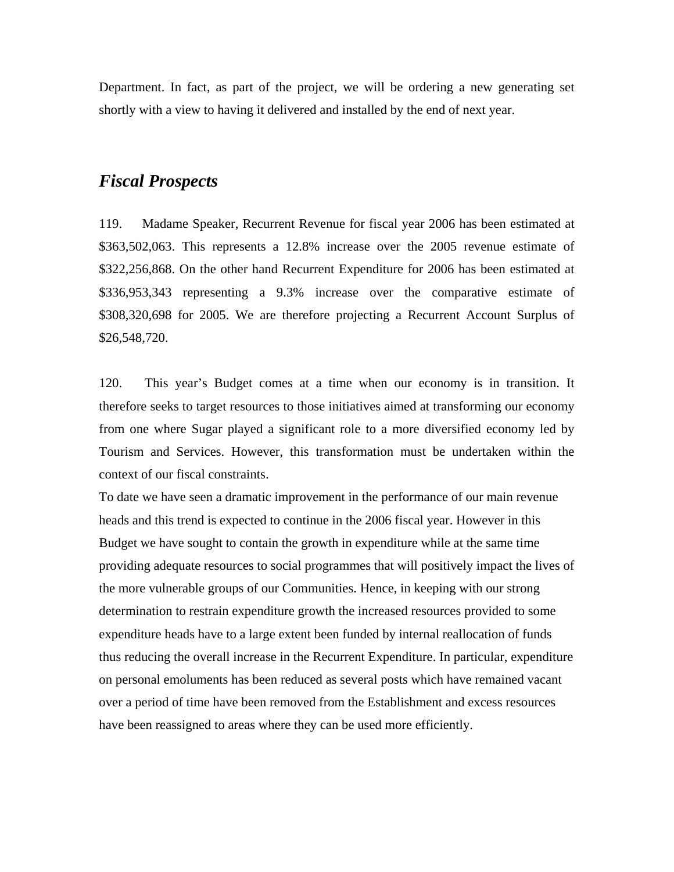Department. In fact, as part of the project, we will be ordering a new generating set shortly with a view to having it delivered and installed by the end of next year.

# *Fiscal Prospects*

119. Madame Speaker, Recurrent Revenue for fiscal year 2006 has been estimated at \$363,502,063. This represents a 12.8% increase over the 2005 revenue estimate of \$322,256,868. On the other hand Recurrent Expenditure for 2006 has been estimated at \$336,953,343 representing a 9.3% increase over the comparative estimate of \$308,320,698 for 2005. We are therefore projecting a Recurrent Account Surplus of \$26,548,720.

120. This year's Budget comes at a time when our economy is in transition. It therefore seeks to target resources to those initiatives aimed at transforming our economy from one where Sugar played a significant role to a more diversified economy led by Tourism and Services. However, this transformation must be undertaken within the context of our fiscal constraints.

To date we have seen a dramatic improvement in the performance of our main revenue heads and this trend is expected to continue in the 2006 fiscal year. However in this Budget we have sought to contain the growth in expenditure while at the same time providing adequate resources to social programmes that will positively impact the lives of the more vulnerable groups of our Communities. Hence, in keeping with our strong determination to restrain expenditure growth the increased resources provided to some expenditure heads have to a large extent been funded by internal reallocation of funds thus reducing the overall increase in the Recurrent Expenditure. In particular, expenditure on personal emoluments has been reduced as several posts which have remained vacant over a period of time have been removed from the Establishment and excess resources have been reassigned to areas where they can be used more efficiently.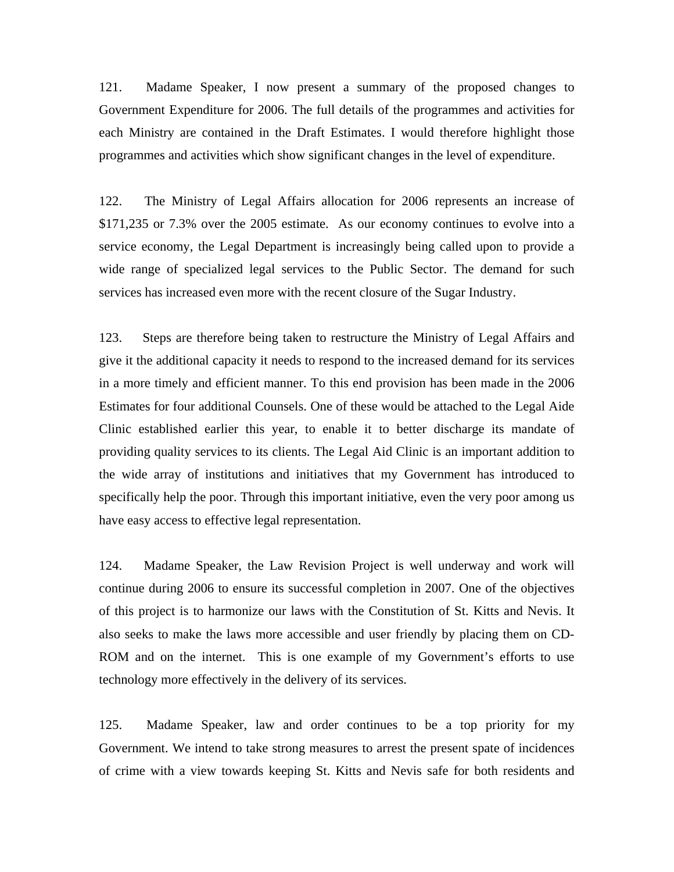121. Madame Speaker, I now present a summary of the proposed changes to Government Expenditure for 2006. The full details of the programmes and activities for each Ministry are contained in the Draft Estimates. I would therefore highlight those programmes and activities which show significant changes in the level of expenditure.

122. The Ministry of Legal Affairs allocation for 2006 represents an increase of \$171,235 or 7.3% over the 2005 estimate. As our economy continues to evolve into a service economy, the Legal Department is increasingly being called upon to provide a wide range of specialized legal services to the Public Sector. The demand for such services has increased even more with the recent closure of the Sugar Industry.

123. Steps are therefore being taken to restructure the Ministry of Legal Affairs and give it the additional capacity it needs to respond to the increased demand for its services in a more timely and efficient manner. To this end provision has been made in the 2006 Estimates for four additional Counsels. One of these would be attached to the Legal Aide Clinic established earlier this year, to enable it to better discharge its mandate of providing quality services to its clients. The Legal Aid Clinic is an important addition to the wide array of institutions and initiatives that my Government has introduced to specifically help the poor. Through this important initiative, even the very poor among us have easy access to effective legal representation.

124. Madame Speaker, the Law Revision Project is well underway and work will continue during 2006 to ensure its successful completion in 2007. One of the objectives of this project is to harmonize our laws with the Constitution of St. Kitts and Nevis. It also seeks to make the laws more accessible and user friendly by placing them on CD-ROM and on the internet. This is one example of my Government's efforts to use technology more effectively in the delivery of its services.

125. Madame Speaker, law and order continues to be a top priority for my Government. We intend to take strong measures to arrest the present spate of incidences of crime with a view towards keeping St. Kitts and Nevis safe for both residents and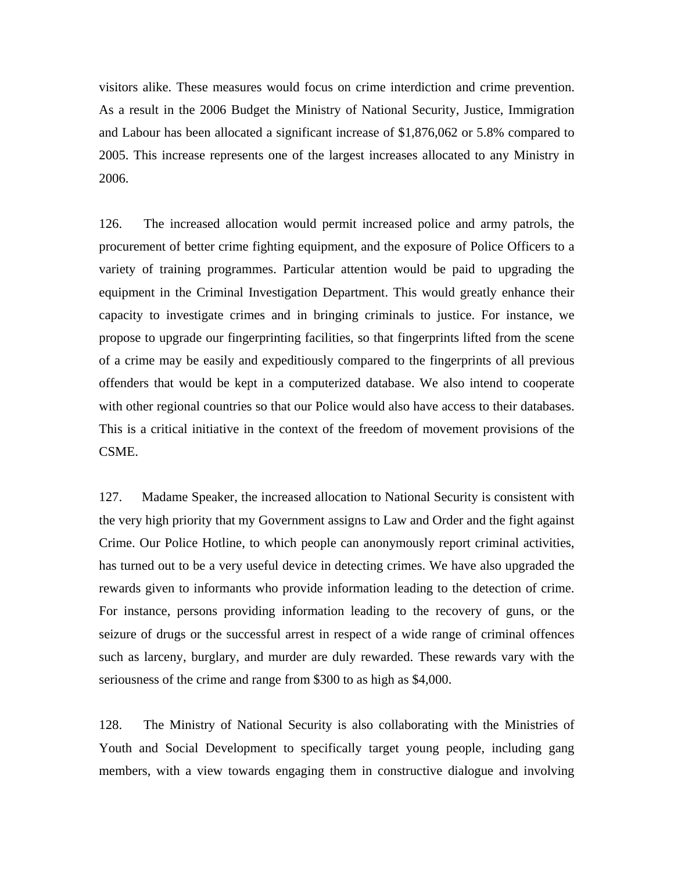visitors alike. These measures would focus on crime interdiction and crime prevention. As a result in the 2006 Budget the Ministry of National Security, Justice, Immigration and Labour has been allocated a significant increase of \$1,876,062 or 5.8% compared to 2005. This increase represents one of the largest increases allocated to any Ministry in 2006.

126. The increased allocation would permit increased police and army patrols, the procurement of better crime fighting equipment, and the exposure of Police Officers to a variety of training programmes. Particular attention would be paid to upgrading the equipment in the Criminal Investigation Department. This would greatly enhance their capacity to investigate crimes and in bringing criminals to justice. For instance, we propose to upgrade our fingerprinting facilities, so that fingerprints lifted from the scene of a crime may be easily and expeditiously compared to the fingerprints of all previous offenders that would be kept in a computerized database. We also intend to cooperate with other regional countries so that our Police would also have access to their databases. This is a critical initiative in the context of the freedom of movement provisions of the CSME.

127. Madame Speaker, the increased allocation to National Security is consistent with the very high priority that my Government assigns to Law and Order and the fight against Crime. Our Police Hotline, to which people can anonymously report criminal activities, has turned out to be a very useful device in detecting crimes. We have also upgraded the rewards given to informants who provide information leading to the detection of crime. For instance, persons providing information leading to the recovery of guns, or the seizure of drugs or the successful arrest in respect of a wide range of criminal offences such as larceny, burglary, and murder are duly rewarded. These rewards vary with the seriousness of the crime and range from \$300 to as high as \$4,000.

128. The Ministry of National Security is also collaborating with the Ministries of Youth and Social Development to specifically target young people, including gang members, with a view towards engaging them in constructive dialogue and involving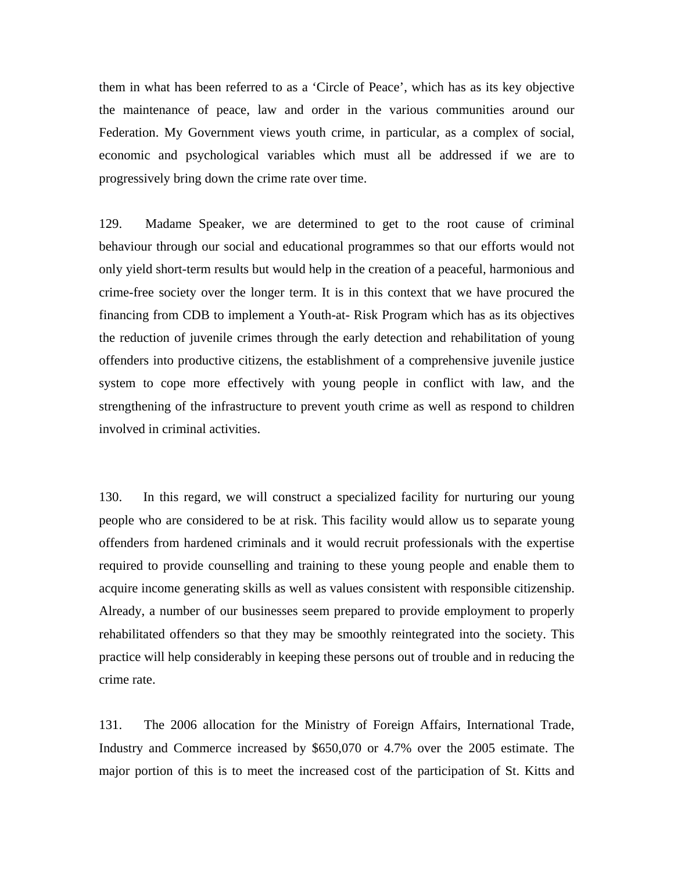them in what has been referred to as a 'Circle of Peace', which has as its key objective the maintenance of peace, law and order in the various communities around our Federation. My Government views youth crime, in particular, as a complex of social, economic and psychological variables which must all be addressed if we are to progressively bring down the crime rate over time.

129. Madame Speaker, we are determined to get to the root cause of criminal behaviour through our social and educational programmes so that our efforts would not only yield short-term results but would help in the creation of a peaceful, harmonious and crime-free society over the longer term. It is in this context that we have procured the financing from CDB to implement a Youth-at- Risk Program which has as its objectives the reduction of juvenile crimes through the early detection and rehabilitation of young offenders into productive citizens, the establishment of a comprehensive juvenile justice system to cope more effectively with young people in conflict with law, and the strengthening of the infrastructure to prevent youth crime as well as respond to children involved in criminal activities.

130. In this regard, we will construct a specialized facility for nurturing our young people who are considered to be at risk. This facility would allow us to separate young offenders from hardened criminals and it would recruit professionals with the expertise required to provide counselling and training to these young people and enable them to acquire income generating skills as well as values consistent with responsible citizenship. Already, a number of our businesses seem prepared to provide employment to properly rehabilitated offenders so that they may be smoothly reintegrated into the society. This practice will help considerably in keeping these persons out of trouble and in reducing the crime rate.

131. The 2006 allocation for the Ministry of Foreign Affairs, International Trade, Industry and Commerce increased by \$650,070 or 4.7% over the 2005 estimate. The major portion of this is to meet the increased cost of the participation of St. Kitts and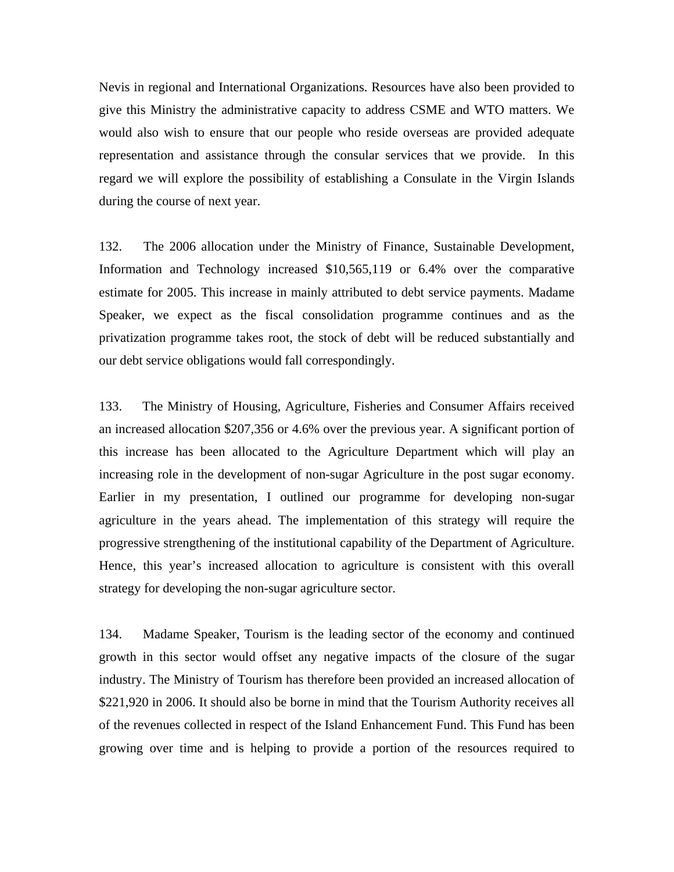Nevis in regional and International Organizations. Resources have also been provided to give this Ministry the administrative capacity to address CSME and WTO matters. We would also wish to ensure that our people who reside overseas are provided adequate representation and assistance through the consular services that we provide. In this regard we will explore the possibility of establishing a Consulate in the Virgin Islands during the course of next year.

132. The 2006 allocation under the Ministry of Finance, Sustainable Development, Information and Technology increased \$10,565,119 or 6.4% over the comparative estimate for 2005. This increase in mainly attributed to debt service payments. Madame Speaker, we expect as the fiscal consolidation programme continues and as the privatization programme takes root, the stock of debt will be reduced substantially and our debt service obligations would fall correspondingly.

133. The Ministry of Housing, Agriculture, Fisheries and Consumer Affairs received an increased allocation \$207,356 or 4.6% over the previous year. A significant portion of this increase has been allocated to the Agriculture Department which will play an increasing role in the development of non-sugar Agriculture in the post sugar economy. Earlier in my presentation, I outlined our programme for developing non-sugar agriculture in the years ahead. The implementation of this strategy will require the progressive strengthening of the institutional capability of the Department of Agriculture. Hence, this year's increased allocation to agriculture is consistent with this overall strategy for developing the non-sugar agriculture sector.

134. Madame Speaker, Tourism is the leading sector of the economy and continued growth in this sector would offset any negative impacts of the closure of the sugar industry. The Ministry of Tourism has therefore been provided an increased allocation of \$221,920 in 2006. It should also be borne in mind that the Tourism Authority receives all of the revenues collected in respect of the Island Enhancement Fund. This Fund has been growing over time and is helping to provide a portion of the resources required to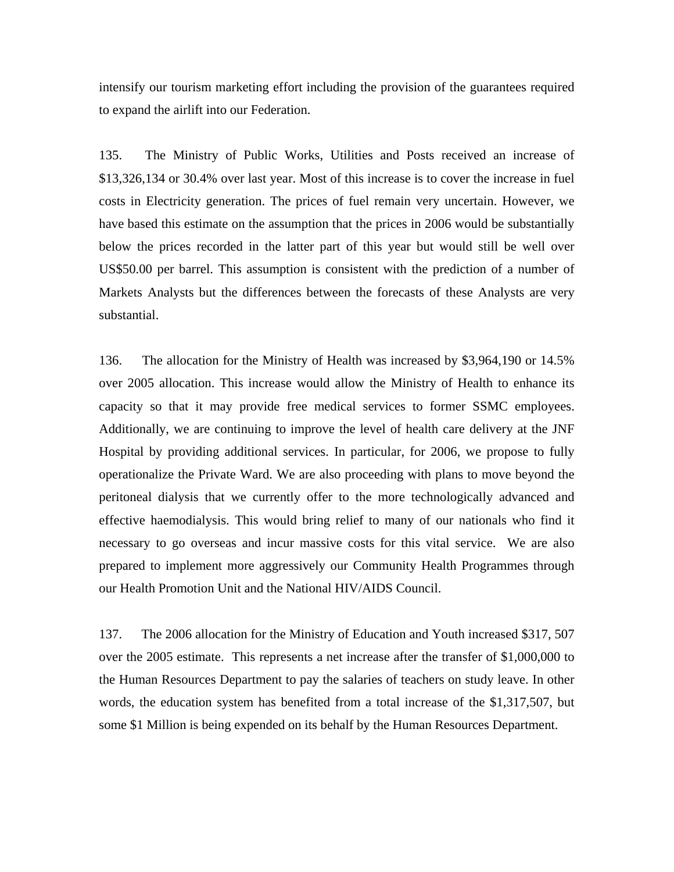intensify our tourism marketing effort including the provision of the guarantees required to expand the airlift into our Federation.

135. The Ministry of Public Works, Utilities and Posts received an increase of \$13,326,134 or 30.4% over last year. Most of this increase is to cover the increase in fuel costs in Electricity generation. The prices of fuel remain very uncertain. However, we have based this estimate on the assumption that the prices in 2006 would be substantially below the prices recorded in the latter part of this year but would still be well over US\$50.00 per barrel. This assumption is consistent with the prediction of a number of Markets Analysts but the differences between the forecasts of these Analysts are very substantial.

136. The allocation for the Ministry of Health was increased by \$3,964,190 or 14.5% over 2005 allocation. This increase would allow the Ministry of Health to enhance its capacity so that it may provide free medical services to former SSMC employees. Additionally, we are continuing to improve the level of health care delivery at the JNF Hospital by providing additional services. In particular, for 2006, we propose to fully operationalize the Private Ward. We are also proceeding with plans to move beyond the peritoneal dialysis that we currently offer to the more technologically advanced and effective haemodialysis. This would bring relief to many of our nationals who find it necessary to go overseas and incur massive costs for this vital service. We are also prepared to implement more aggressively our Community Health Programmes through our Health Promotion Unit and the National HIV/AIDS Council.

137. The 2006 allocation for the Ministry of Education and Youth increased \$317, 507 over the 2005 estimate. This represents a net increase after the transfer of \$1,000,000 to the Human Resources Department to pay the salaries of teachers on study leave. In other words, the education system has benefited from a total increase of the \$1,317,507, but some \$1 Million is being expended on its behalf by the Human Resources Department.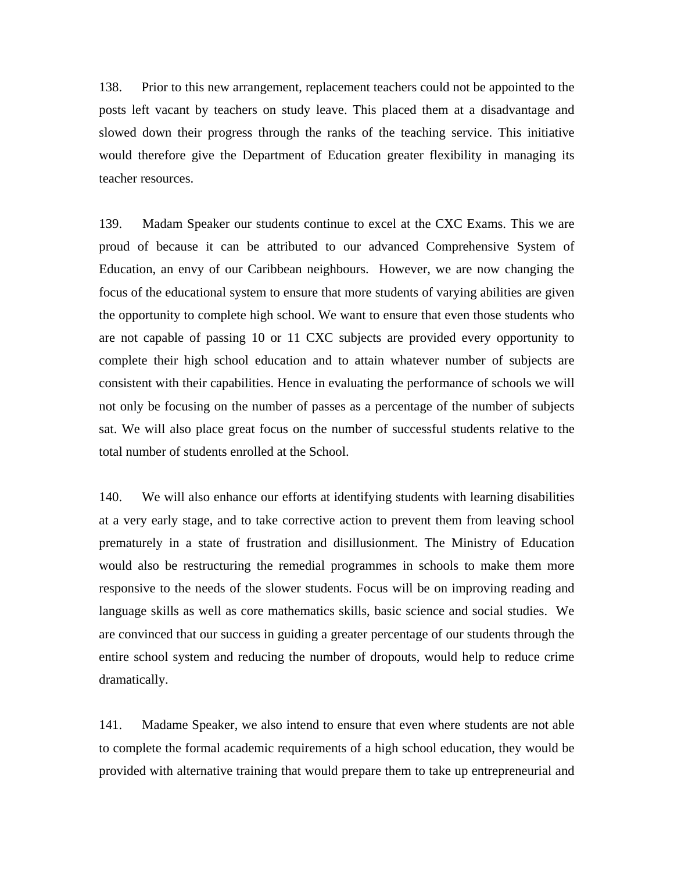138. Prior to this new arrangement, replacement teachers could not be appointed to the posts left vacant by teachers on study leave. This placed them at a disadvantage and slowed down their progress through the ranks of the teaching service. This initiative would therefore give the Department of Education greater flexibility in managing its teacher resources.

139. Madam Speaker our students continue to excel at the CXC Exams. This we are proud of because it can be attributed to our advanced Comprehensive System of Education, an envy of our Caribbean neighbours. However, we are now changing the focus of the educational system to ensure that more students of varying abilities are given the opportunity to complete high school. We want to ensure that even those students who are not capable of passing 10 or 11 CXC subjects are provided every opportunity to complete their high school education and to attain whatever number of subjects are consistent with their capabilities. Hence in evaluating the performance of schools we will not only be focusing on the number of passes as a percentage of the number of subjects sat. We will also place great focus on the number of successful students relative to the total number of students enrolled at the School.

140. We will also enhance our efforts at identifying students with learning disabilities at a very early stage, and to take corrective action to prevent them from leaving school prematurely in a state of frustration and disillusionment. The Ministry of Education would also be restructuring the remedial programmes in schools to make them more responsive to the needs of the slower students. Focus will be on improving reading and language skills as well as core mathematics skills, basic science and social studies. We are convinced that our success in guiding a greater percentage of our students through the entire school system and reducing the number of dropouts, would help to reduce crime dramatically.

141. Madame Speaker, we also intend to ensure that even where students are not able to complete the formal academic requirements of a high school education, they would be provided with alternative training that would prepare them to take up entrepreneurial and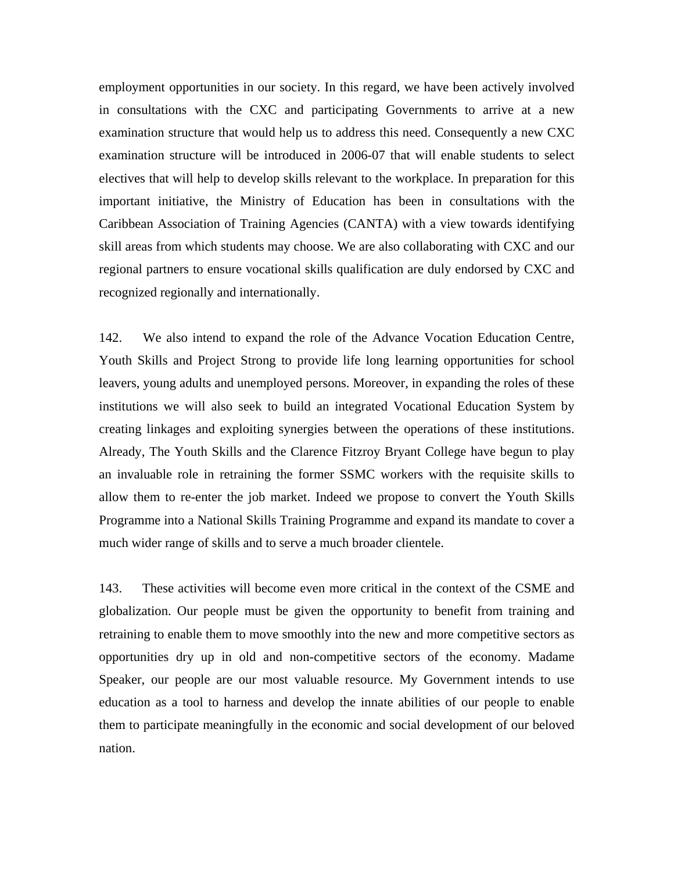employment opportunities in our society. In this regard, we have been actively involved in consultations with the CXC and participating Governments to arrive at a new examination structure that would help us to address this need. Consequently a new CXC examination structure will be introduced in 2006-07 that will enable students to select electives that will help to develop skills relevant to the workplace. In preparation for this important initiative, the Ministry of Education has been in consultations with the Caribbean Association of Training Agencies (CANTA) with a view towards identifying skill areas from which students may choose. We are also collaborating with CXC and our regional partners to ensure vocational skills qualification are duly endorsed by CXC and recognized regionally and internationally.

142. We also intend to expand the role of the Advance Vocation Education Centre, Youth Skills and Project Strong to provide life long learning opportunities for school leavers, young adults and unemployed persons. Moreover, in expanding the roles of these institutions we will also seek to build an integrated Vocational Education System by creating linkages and exploiting synergies between the operations of these institutions. Already, The Youth Skills and the Clarence Fitzroy Bryant College have begun to play an invaluable role in retraining the former SSMC workers with the requisite skills to allow them to re-enter the job market. Indeed we propose to convert the Youth Skills Programme into a National Skills Training Programme and expand its mandate to cover a much wider range of skills and to serve a much broader clientele.

143. These activities will become even more critical in the context of the CSME and globalization. Our people must be given the opportunity to benefit from training and retraining to enable them to move smoothly into the new and more competitive sectors as opportunities dry up in old and non-competitive sectors of the economy. Madame Speaker, our people are our most valuable resource. My Government intends to use education as a tool to harness and develop the innate abilities of our people to enable them to participate meaningfully in the economic and social development of our beloved nation.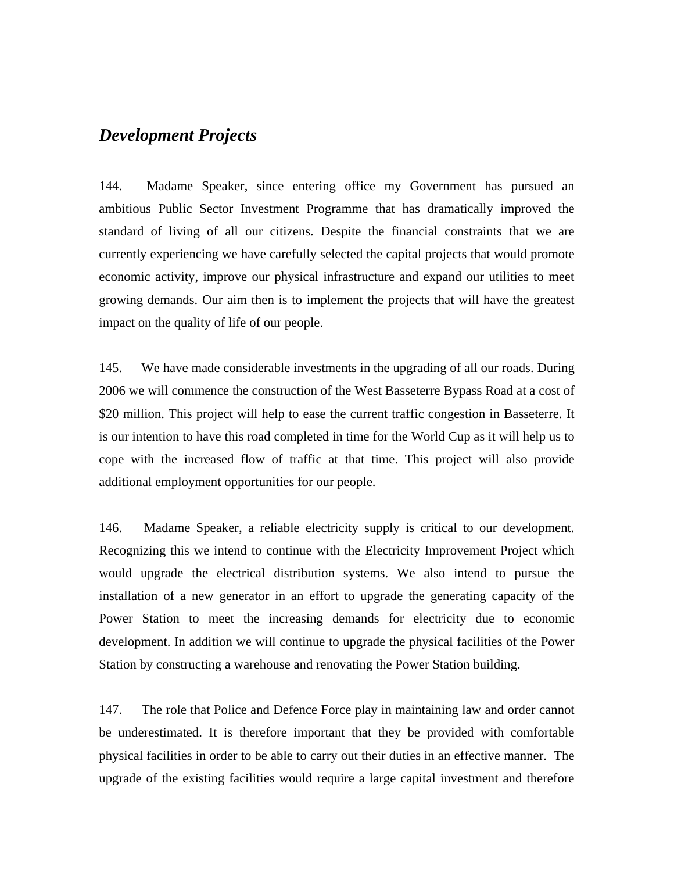## *Development Projects*

144. Madame Speaker, since entering office my Government has pursued an ambitious Public Sector Investment Programme that has dramatically improved the standard of living of all our citizens. Despite the financial constraints that we are currently experiencing we have carefully selected the capital projects that would promote economic activity, improve our physical infrastructure and expand our utilities to meet growing demands. Our aim then is to implement the projects that will have the greatest impact on the quality of life of our people.

145. We have made considerable investments in the upgrading of all our roads. During 2006 we will commence the construction of the West Basseterre Bypass Road at a cost of \$20 million. This project will help to ease the current traffic congestion in Basseterre. It is our intention to have this road completed in time for the World Cup as it will help us to cope with the increased flow of traffic at that time. This project will also provide additional employment opportunities for our people.

146. Madame Speaker, a reliable electricity supply is critical to our development. Recognizing this we intend to continue with the Electricity Improvement Project which would upgrade the electrical distribution systems. We also intend to pursue the installation of a new generator in an effort to upgrade the generating capacity of the Power Station to meet the increasing demands for electricity due to economic development. In addition we will continue to upgrade the physical facilities of the Power Station by constructing a warehouse and renovating the Power Station building.

147. The role that Police and Defence Force play in maintaining law and order cannot be underestimated. It is therefore important that they be provided with comfortable physical facilities in order to be able to carry out their duties in an effective manner. The upgrade of the existing facilities would require a large capital investment and therefore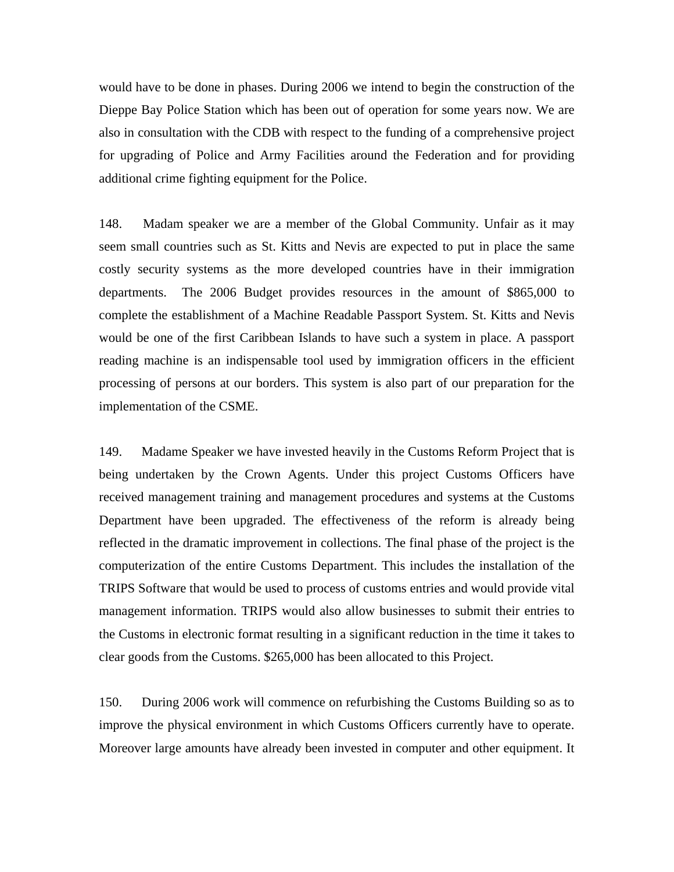would have to be done in phases. During 2006 we intend to begin the construction of the Dieppe Bay Police Station which has been out of operation for some years now. We are also in consultation with the CDB with respect to the funding of a comprehensive project for upgrading of Police and Army Facilities around the Federation and for providing additional crime fighting equipment for the Police.

148. Madam speaker we are a member of the Global Community. Unfair as it may seem small countries such as St. Kitts and Nevis are expected to put in place the same costly security systems as the more developed countries have in their immigration departments. The 2006 Budget provides resources in the amount of \$865,000 to complete the establishment of a Machine Readable Passport System. St. Kitts and Nevis would be one of the first Caribbean Islands to have such a system in place. A passport reading machine is an indispensable tool used by immigration officers in the efficient processing of persons at our borders. This system is also part of our preparation for the implementation of the CSME.

149. Madame Speaker we have invested heavily in the Customs Reform Project that is being undertaken by the Crown Agents. Under this project Customs Officers have received management training and management procedures and systems at the Customs Department have been upgraded. The effectiveness of the reform is already being reflected in the dramatic improvement in collections. The final phase of the project is the computerization of the entire Customs Department. This includes the installation of the TRIPS Software that would be used to process of customs entries and would provide vital management information. TRIPS would also allow businesses to submit their entries to the Customs in electronic format resulting in a significant reduction in the time it takes to clear goods from the Customs. \$265,000 has been allocated to this Project.

150. During 2006 work will commence on refurbishing the Customs Building so as to improve the physical environment in which Customs Officers currently have to operate. Moreover large amounts have already been invested in computer and other equipment. It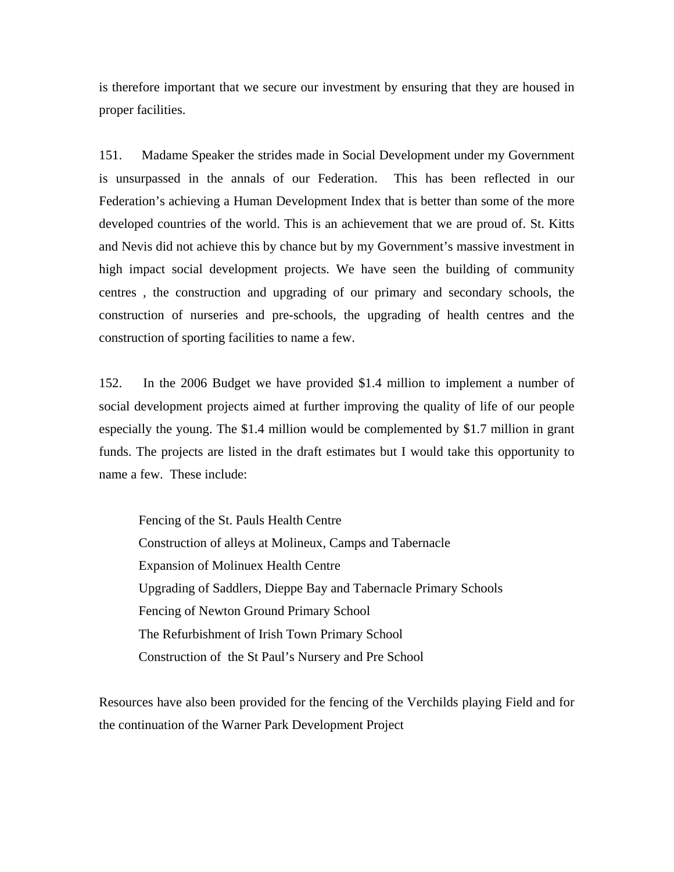is therefore important that we secure our investment by ensuring that they are housed in proper facilities.

151. Madame Speaker the strides made in Social Development under my Government is unsurpassed in the annals of our Federation. This has been reflected in our Federation's achieving a Human Development Index that is better than some of the more developed countries of the world. This is an achievement that we are proud of. St. Kitts and Nevis did not achieve this by chance but by my Government's massive investment in high impact social development projects. We have seen the building of community centres , the construction and upgrading of our primary and secondary schools, the construction of nurseries and pre-schools, the upgrading of health centres and the construction of sporting facilities to name a few.

152. In the 2006 Budget we have provided \$1.4 million to implement a number of social development projects aimed at further improving the quality of life of our people especially the young. The \$1.4 million would be complemented by \$1.7 million in grant funds. The projects are listed in the draft estimates but I would take this opportunity to name a few. These include:

Fencing of the St. Pauls Health Centre Construction of alleys at Molineux, Camps and Tabernacle Expansion of Molinuex Health Centre Upgrading of Saddlers, Dieppe Bay and Tabernacle Primary Schools Fencing of Newton Ground Primary School The Refurbishment of Irish Town Primary School Construction of the St Paul's Nursery and Pre School

Resources have also been provided for the fencing of the Verchilds playing Field and for the continuation of the Warner Park Development Project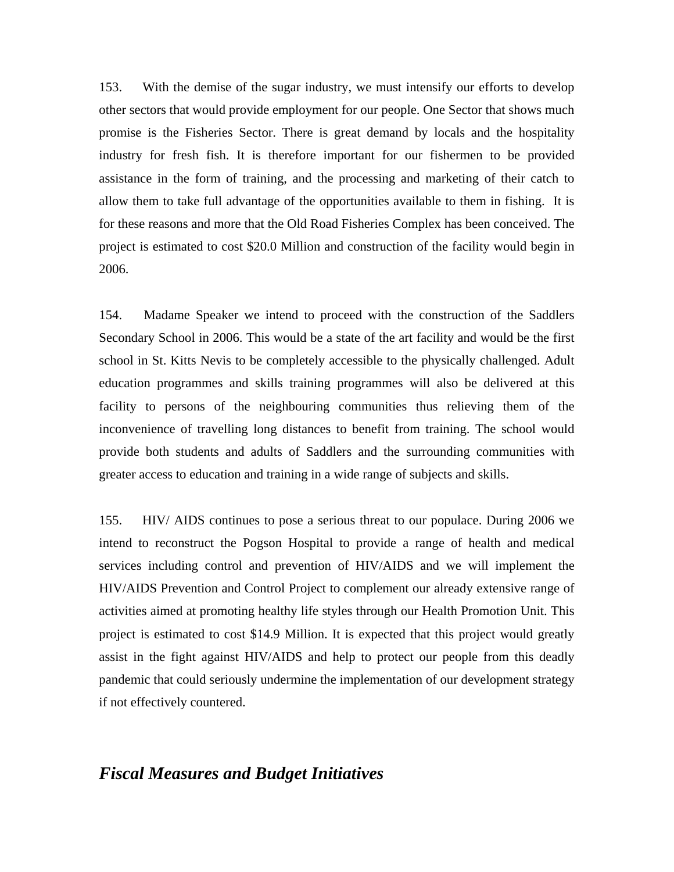153. With the demise of the sugar industry, we must intensify our efforts to develop other sectors that would provide employment for our people. One Sector that shows much promise is the Fisheries Sector. There is great demand by locals and the hospitality industry for fresh fish. It is therefore important for our fishermen to be provided assistance in the form of training, and the processing and marketing of their catch to allow them to take full advantage of the opportunities available to them in fishing. It is for these reasons and more that the Old Road Fisheries Complex has been conceived. The project is estimated to cost \$20.0 Million and construction of the facility would begin in 2006.

154. Madame Speaker we intend to proceed with the construction of the Saddlers Secondary School in 2006. This would be a state of the art facility and would be the first school in St. Kitts Nevis to be completely accessible to the physically challenged. Adult education programmes and skills training programmes will also be delivered at this facility to persons of the neighbouring communities thus relieving them of the inconvenience of travelling long distances to benefit from training. The school would provide both students and adults of Saddlers and the surrounding communities with greater access to education and training in a wide range of subjects and skills.

155. HIV/ AIDS continues to pose a serious threat to our populace. During 2006 we intend to reconstruct the Pogson Hospital to provide a range of health and medical services including control and prevention of HIV/AIDS and we will implement the HIV/AIDS Prevention and Control Project to complement our already extensive range of activities aimed at promoting healthy life styles through our Health Promotion Unit. This project is estimated to cost \$14.9 Million. It is expected that this project would greatly assist in the fight against HIV/AIDS and help to protect our people from this deadly pandemic that could seriously undermine the implementation of our development strategy if not effectively countered.

### *Fiscal Measures and Budget Initiatives*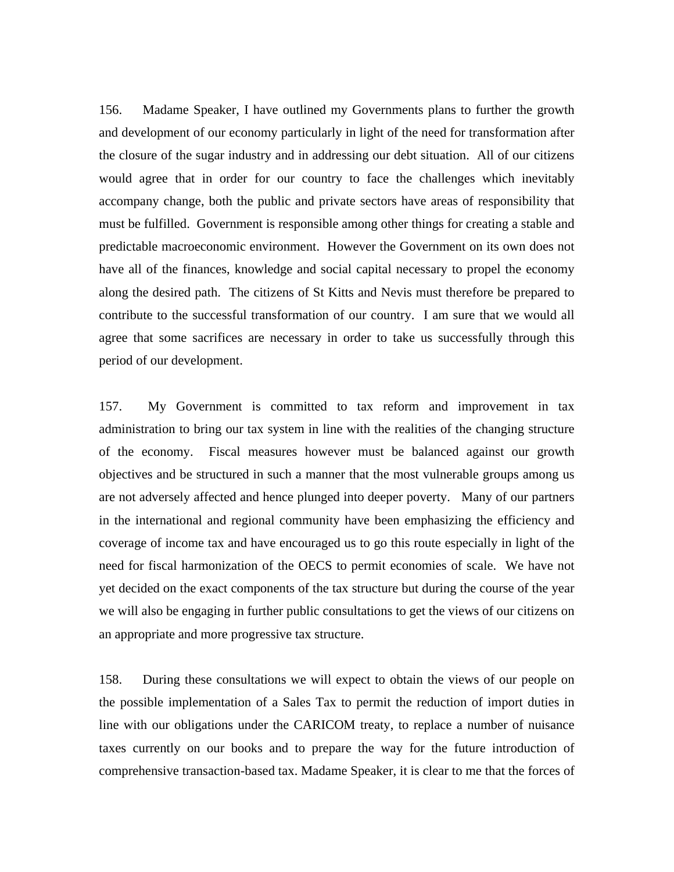156. Madame Speaker, I have outlined my Governments plans to further the growth and development of our economy particularly in light of the need for transformation after the closure of the sugar industry and in addressing our debt situation. All of our citizens would agree that in order for our country to face the challenges which inevitably accompany change, both the public and private sectors have areas of responsibility that must be fulfilled. Government is responsible among other things for creating a stable and predictable macroeconomic environment. However the Government on its own does not have all of the finances, knowledge and social capital necessary to propel the economy along the desired path. The citizens of St Kitts and Nevis must therefore be prepared to contribute to the successful transformation of our country. I am sure that we would all agree that some sacrifices are necessary in order to take us successfully through this period of our development.

157. My Government is committed to tax reform and improvement in tax administration to bring our tax system in line with the realities of the changing structure of the economy. Fiscal measures however must be balanced against our growth objectives and be structured in such a manner that the most vulnerable groups among us are not adversely affected and hence plunged into deeper poverty. Many of our partners in the international and regional community have been emphasizing the efficiency and coverage of income tax and have encouraged us to go this route especially in light of the need for fiscal harmonization of the OECS to permit economies of scale. We have not yet decided on the exact components of the tax structure but during the course of the year we will also be engaging in further public consultations to get the views of our citizens on an appropriate and more progressive tax structure.

158. During these consultations we will expect to obtain the views of our people on the possible implementation of a Sales Tax to permit the reduction of import duties in line with our obligations under the CARICOM treaty, to replace a number of nuisance taxes currently on our books and to prepare the way for the future introduction of comprehensive transaction-based tax. Madame Speaker, it is clear to me that the forces of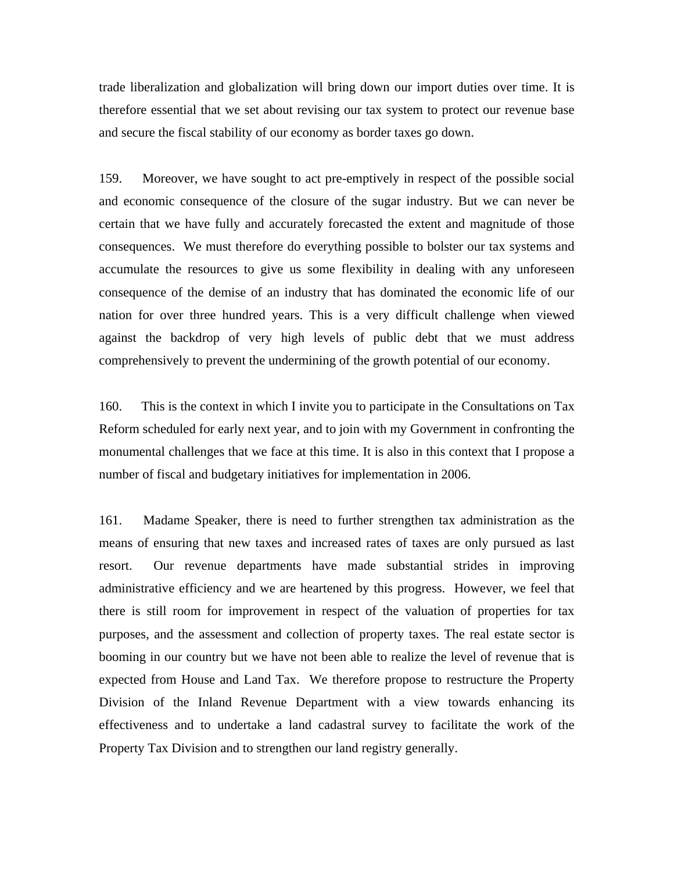trade liberalization and globalization will bring down our import duties over time. It is therefore essential that we set about revising our tax system to protect our revenue base and secure the fiscal stability of our economy as border taxes go down.

159. Moreover, we have sought to act pre-emptively in respect of the possible social and economic consequence of the closure of the sugar industry. But we can never be certain that we have fully and accurately forecasted the extent and magnitude of those consequences. We must therefore do everything possible to bolster our tax systems and accumulate the resources to give us some flexibility in dealing with any unforeseen consequence of the demise of an industry that has dominated the economic life of our nation for over three hundred years. This is a very difficult challenge when viewed against the backdrop of very high levels of public debt that we must address comprehensively to prevent the undermining of the growth potential of our economy.

160. This is the context in which I invite you to participate in the Consultations on Tax Reform scheduled for early next year, and to join with my Government in confronting the monumental challenges that we face at this time. It is also in this context that I propose a number of fiscal and budgetary initiatives for implementation in 2006.

161. Madame Speaker, there is need to further strengthen tax administration as the means of ensuring that new taxes and increased rates of taxes are only pursued as last resort. Our revenue departments have made substantial strides in improving administrative efficiency and we are heartened by this progress. However, we feel that there is still room for improvement in respect of the valuation of properties for tax purposes, and the assessment and collection of property taxes. The real estate sector is booming in our country but we have not been able to realize the level of revenue that is expected from House and Land Tax. We therefore propose to restructure the Property Division of the Inland Revenue Department with a view towards enhancing its effectiveness and to undertake a land cadastral survey to facilitate the work of the Property Tax Division and to strengthen our land registry generally.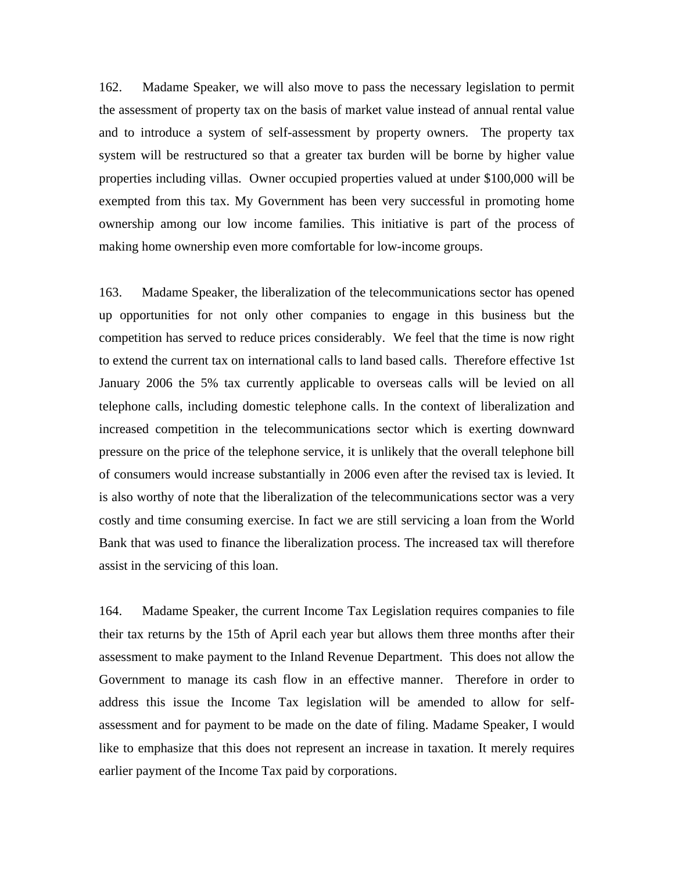162. Madame Speaker, we will also move to pass the necessary legislation to permit the assessment of property tax on the basis of market value instead of annual rental value and to introduce a system of self-assessment by property owners. The property tax system will be restructured so that a greater tax burden will be borne by higher value properties including villas. Owner occupied properties valued at under \$100,000 will be exempted from this tax. My Government has been very successful in promoting home ownership among our low income families. This initiative is part of the process of making home ownership even more comfortable for low-income groups.

163. Madame Speaker, the liberalization of the telecommunications sector has opened up opportunities for not only other companies to engage in this business but the competition has served to reduce prices considerably. We feel that the time is now right to extend the current tax on international calls to land based calls. Therefore effective 1st January 2006 the 5% tax currently applicable to overseas calls will be levied on all telephone calls, including domestic telephone calls. In the context of liberalization and increased competition in the telecommunications sector which is exerting downward pressure on the price of the telephone service, it is unlikely that the overall telephone bill of consumers would increase substantially in 2006 even after the revised tax is levied. It is also worthy of note that the liberalization of the telecommunications sector was a very costly and time consuming exercise. In fact we are still servicing a loan from the World Bank that was used to finance the liberalization process. The increased tax will therefore assist in the servicing of this loan.

164. Madame Speaker, the current Income Tax Legislation requires companies to file their tax returns by the 15th of April each year but allows them three months after their assessment to make payment to the Inland Revenue Department. This does not allow the Government to manage its cash flow in an effective manner. Therefore in order to address this issue the Income Tax legislation will be amended to allow for selfassessment and for payment to be made on the date of filing. Madame Speaker, I would like to emphasize that this does not represent an increase in taxation. It merely requires earlier payment of the Income Tax paid by corporations.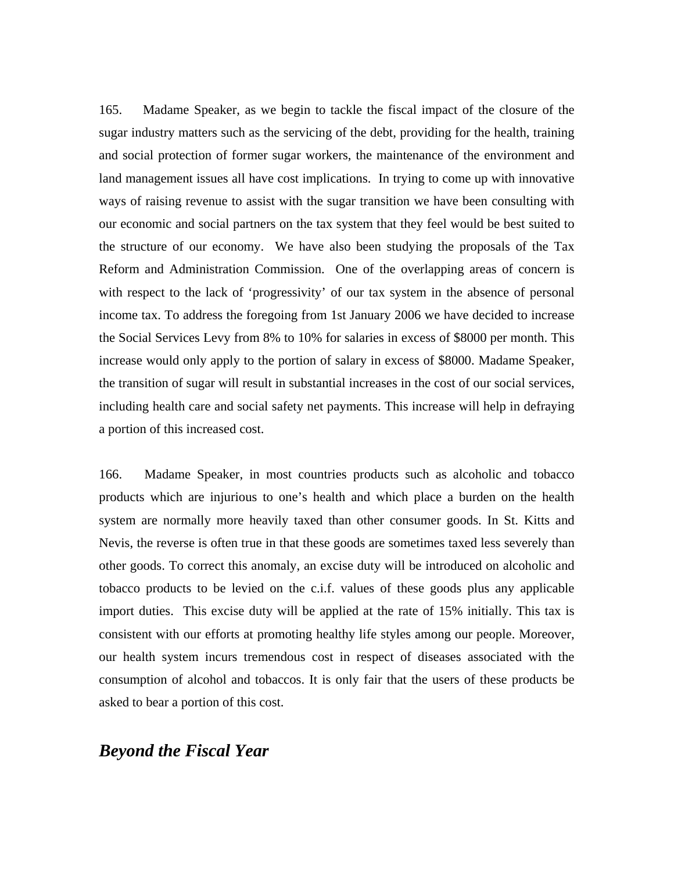165. Madame Speaker, as we begin to tackle the fiscal impact of the closure of the sugar industry matters such as the servicing of the debt, providing for the health, training and social protection of former sugar workers, the maintenance of the environment and land management issues all have cost implications. In trying to come up with innovative ways of raising revenue to assist with the sugar transition we have been consulting with our economic and social partners on the tax system that they feel would be best suited to the structure of our economy. We have also been studying the proposals of the Tax Reform and Administration Commission. One of the overlapping areas of concern is with respect to the lack of 'progressivity' of our tax system in the absence of personal income tax. To address the foregoing from 1st January 2006 we have decided to increase the Social Services Levy from 8% to 10% for salaries in excess of \$8000 per month. This increase would only apply to the portion of salary in excess of \$8000. Madame Speaker, the transition of sugar will result in substantial increases in the cost of our social services, including health care and social safety net payments. This increase will help in defraying a portion of this increased cost.

166. Madame Speaker, in most countries products such as alcoholic and tobacco products which are injurious to one's health and which place a burden on the health system are normally more heavily taxed than other consumer goods. In St. Kitts and Nevis, the reverse is often true in that these goods are sometimes taxed less severely than other goods. To correct this anomaly, an excise duty will be introduced on alcoholic and tobacco products to be levied on the c.i.f. values of these goods plus any applicable import duties. This excise duty will be applied at the rate of 15% initially. This tax is consistent with our efforts at promoting healthy life styles among our people. Moreover, our health system incurs tremendous cost in respect of diseases associated with the consumption of alcohol and tobaccos. It is only fair that the users of these products be asked to bear a portion of this cost.

# *Beyond the Fiscal Year*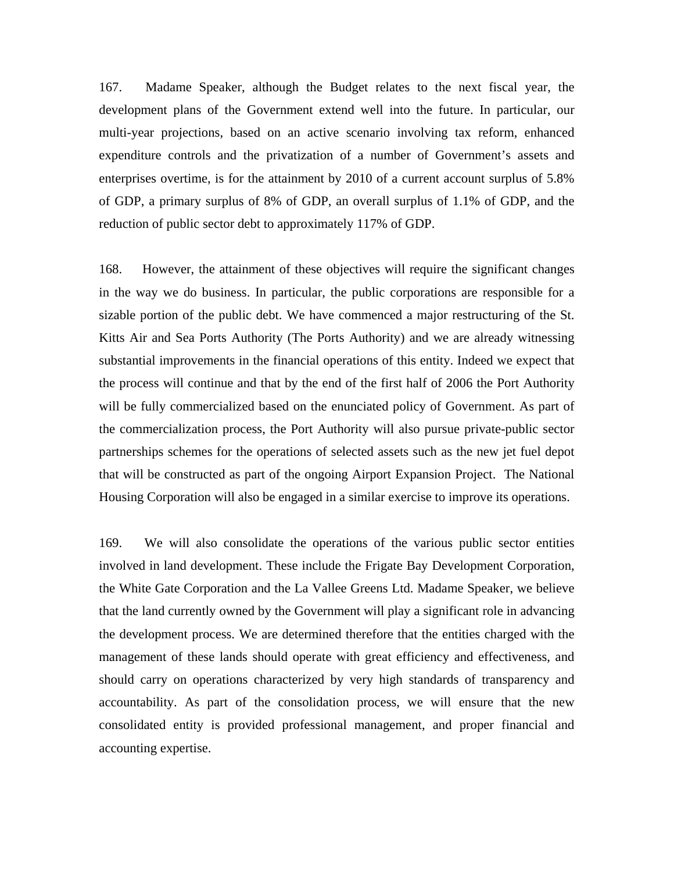167. Madame Speaker, although the Budget relates to the next fiscal year, the development plans of the Government extend well into the future. In particular, our multi-year projections, based on an active scenario involving tax reform, enhanced expenditure controls and the privatization of a number of Government's assets and enterprises overtime, is for the attainment by 2010 of a current account surplus of 5.8% of GDP, a primary surplus of 8% of GDP, an overall surplus of 1.1% of GDP, and the reduction of public sector debt to approximately 117% of GDP.

168. However, the attainment of these objectives will require the significant changes in the way we do business. In particular, the public corporations are responsible for a sizable portion of the public debt. We have commenced a major restructuring of the St. Kitts Air and Sea Ports Authority (The Ports Authority) and we are already witnessing substantial improvements in the financial operations of this entity. Indeed we expect that the process will continue and that by the end of the first half of 2006 the Port Authority will be fully commercialized based on the enunciated policy of Government. As part of the commercialization process, the Port Authority will also pursue private-public sector partnerships schemes for the operations of selected assets such as the new jet fuel depot that will be constructed as part of the ongoing Airport Expansion Project. The National Housing Corporation will also be engaged in a similar exercise to improve its operations.

169. We will also consolidate the operations of the various public sector entities involved in land development. These include the Frigate Bay Development Corporation, the White Gate Corporation and the La Vallee Greens Ltd. Madame Speaker, we believe that the land currently owned by the Government will play a significant role in advancing the development process. We are determined therefore that the entities charged with the management of these lands should operate with great efficiency and effectiveness, and should carry on operations characterized by very high standards of transparency and accountability. As part of the consolidation process, we will ensure that the new consolidated entity is provided professional management, and proper financial and accounting expertise.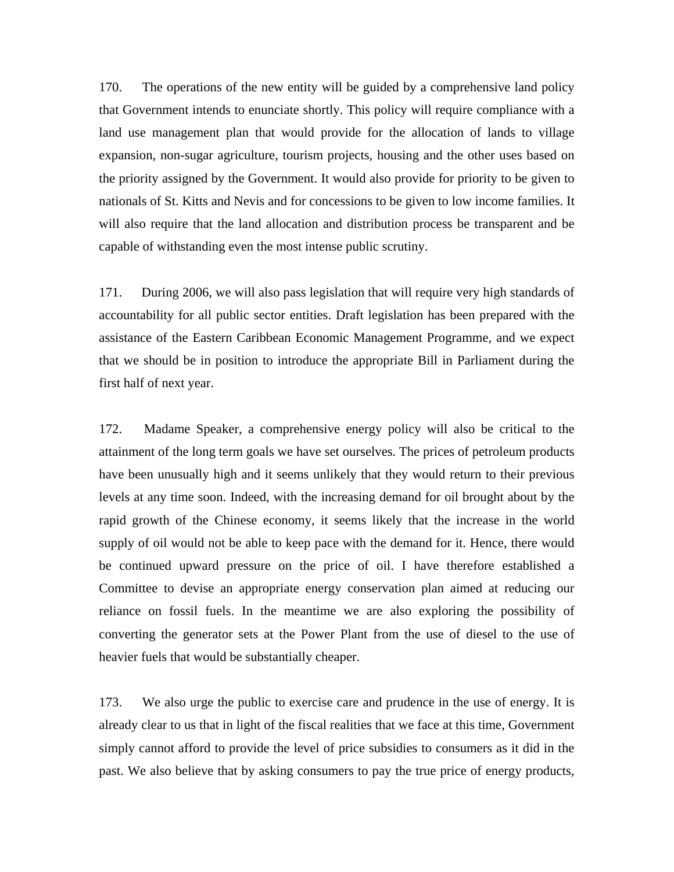170. The operations of the new entity will be guided by a comprehensive land policy that Government intends to enunciate shortly. This policy will require compliance with a land use management plan that would provide for the allocation of lands to village expansion, non-sugar agriculture, tourism projects, housing and the other uses based on the priority assigned by the Government. It would also provide for priority to be given to nationals of St. Kitts and Nevis and for concessions to be given to low income families. It will also require that the land allocation and distribution process be transparent and be capable of withstanding even the most intense public scrutiny.

171. During 2006, we will also pass legislation that will require very high standards of accountability for all public sector entities. Draft legislation has been prepared with the assistance of the Eastern Caribbean Economic Management Programme, and we expect that we should be in position to introduce the appropriate Bill in Parliament during the first half of next year.

172. Madame Speaker, a comprehensive energy policy will also be critical to the attainment of the long term goals we have set ourselves. The prices of petroleum products have been unusually high and it seems unlikely that they would return to their previous levels at any time soon. Indeed, with the increasing demand for oil brought about by the rapid growth of the Chinese economy, it seems likely that the increase in the world supply of oil would not be able to keep pace with the demand for it. Hence, there would be continued upward pressure on the price of oil. I have therefore established a Committee to devise an appropriate energy conservation plan aimed at reducing our reliance on fossil fuels. In the meantime we are also exploring the possibility of converting the generator sets at the Power Plant from the use of diesel to the use of heavier fuels that would be substantially cheaper.

173. We also urge the public to exercise care and prudence in the use of energy. It is already clear to us that in light of the fiscal realities that we face at this time, Government simply cannot afford to provide the level of price subsidies to consumers as it did in the past. We also believe that by asking consumers to pay the true price of energy products,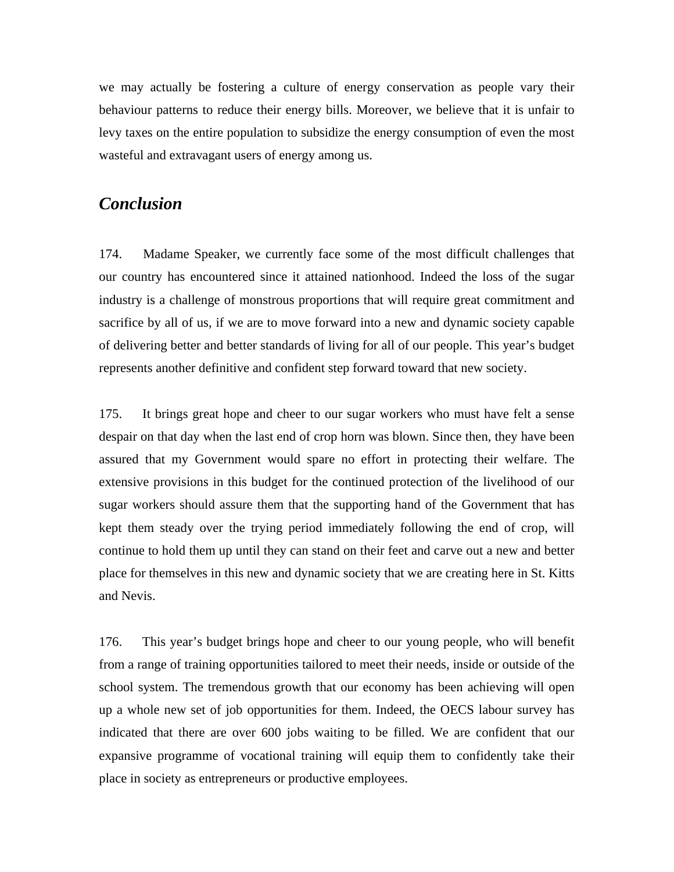we may actually be fostering a culture of energy conservation as people vary their behaviour patterns to reduce their energy bills. Moreover, we believe that it is unfair to levy taxes on the entire population to subsidize the energy consumption of even the most wasteful and extravagant users of energy among us.

# *Conclusion*

174. Madame Speaker, we currently face some of the most difficult challenges that our country has encountered since it attained nationhood. Indeed the loss of the sugar industry is a challenge of monstrous proportions that will require great commitment and sacrifice by all of us, if we are to move forward into a new and dynamic society capable of delivering better and better standards of living for all of our people. This year's budget represents another definitive and confident step forward toward that new society.

175. It brings great hope and cheer to our sugar workers who must have felt a sense despair on that day when the last end of crop horn was blown. Since then, they have been assured that my Government would spare no effort in protecting their welfare. The extensive provisions in this budget for the continued protection of the livelihood of our sugar workers should assure them that the supporting hand of the Government that has kept them steady over the trying period immediately following the end of crop, will continue to hold them up until they can stand on their feet and carve out a new and better place for themselves in this new and dynamic society that we are creating here in St. Kitts and Nevis.

176. This year's budget brings hope and cheer to our young people, who will benefit from a range of training opportunities tailored to meet their needs, inside or outside of the school system. The tremendous growth that our economy has been achieving will open up a whole new set of job opportunities for them. Indeed, the OECS labour survey has indicated that there are over 600 jobs waiting to be filled. We are confident that our expansive programme of vocational training will equip them to confidently take their place in society as entrepreneurs or productive employees.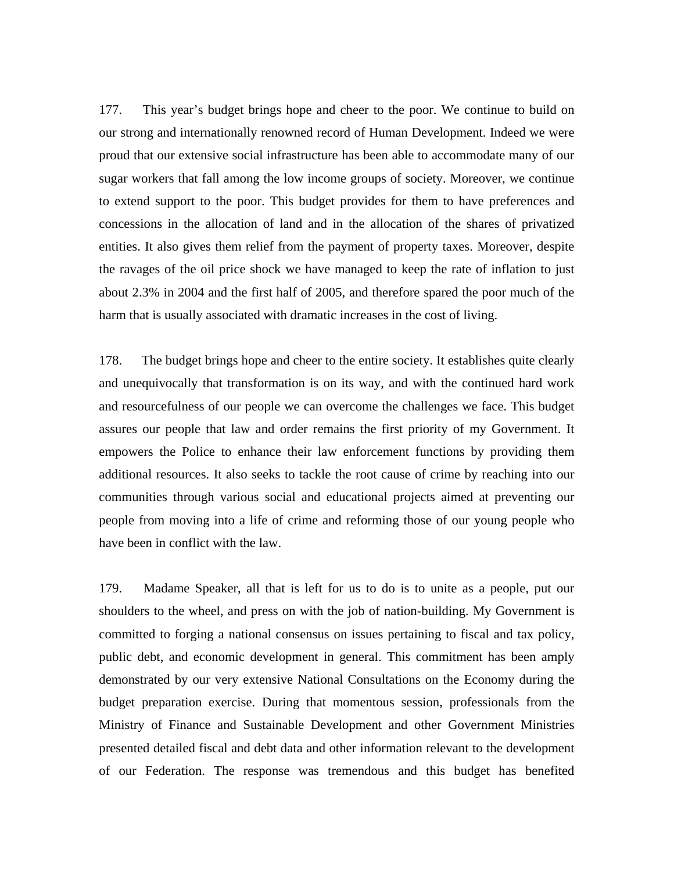177. This year's budget brings hope and cheer to the poor. We continue to build on our strong and internationally renowned record of Human Development. Indeed we were proud that our extensive social infrastructure has been able to accommodate many of our sugar workers that fall among the low income groups of society. Moreover, we continue to extend support to the poor. This budget provides for them to have preferences and concessions in the allocation of land and in the allocation of the shares of privatized entities. It also gives them relief from the payment of property taxes. Moreover, despite the ravages of the oil price shock we have managed to keep the rate of inflation to just about 2.3% in 2004 and the first half of 2005, and therefore spared the poor much of the harm that is usually associated with dramatic increases in the cost of living.

178. The budget brings hope and cheer to the entire society. It establishes quite clearly and unequivocally that transformation is on its way, and with the continued hard work and resourcefulness of our people we can overcome the challenges we face. This budget assures our people that law and order remains the first priority of my Government. It empowers the Police to enhance their law enforcement functions by providing them additional resources. It also seeks to tackle the root cause of crime by reaching into our communities through various social and educational projects aimed at preventing our people from moving into a life of crime and reforming those of our young people who have been in conflict with the law.

179. Madame Speaker, all that is left for us to do is to unite as a people, put our shoulders to the wheel, and press on with the job of nation-building. My Government is committed to forging a national consensus on issues pertaining to fiscal and tax policy, public debt, and economic development in general. This commitment has been amply demonstrated by our very extensive National Consultations on the Economy during the budget preparation exercise. During that momentous session, professionals from the Ministry of Finance and Sustainable Development and other Government Ministries presented detailed fiscal and debt data and other information relevant to the development of our Federation. The response was tremendous and this budget has benefited